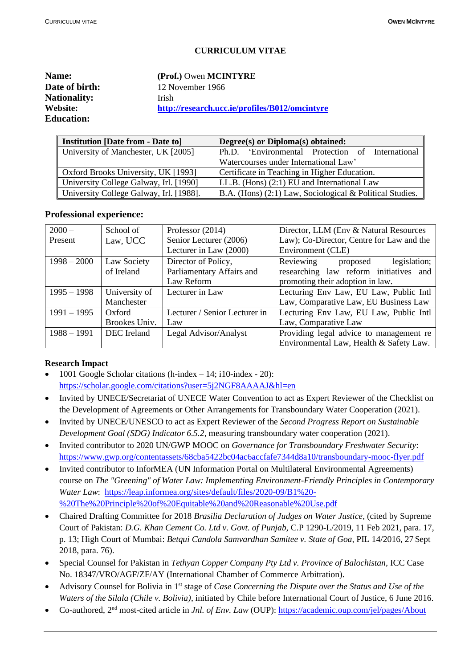# **CURRICULUM VITAE**

| <b>Name:</b>        | (Prof.) Owen MCINTYRE                          |
|---------------------|------------------------------------------------|
| Date of birth:      | 12 November 1966                               |
| <b>Nationality:</b> | <b>Irish</b>                                   |
| Website:            | http://research.ucc.ie/profiles/B012/omcintyre |
| <b>Education:</b>   |                                                |

| <b>Institution [Date from - Date to]</b> | Degree(s) or Diploma(s) obtained:                        |
|------------------------------------------|----------------------------------------------------------|
| University of Manchester, UK [2005]      | Ph.D. 'Environmental Protection of International         |
|                                          | Watercourses under International Law'                    |
| Oxford Brooks University, UK [1993]      | Certificate in Teaching in Higher Education.             |
| University College Galway, Irl. [1990]   | LL.B. (Hons) $(2:1)$ EU and International Law            |
| University College Galway, Irl. [1988].  | B.A. (Hons) (2:1) Law, Sociological & Political Studies. |

#### **Professional experience:**

| $2000 -$      | School of     | Professor $(2014)$            | Director, LLM (Env & Natural Resources    |
|---------------|---------------|-------------------------------|-------------------------------------------|
| Present       | Law, UCC      | Senior Lecturer (2006)        | Law); Co-Director, Centre for Law and the |
|               |               | Lecturer in Law (2000)        | Environment (CLE)                         |
| $1998 - 2000$ | Law Society   | Director of Policy,           | Reviewing<br>legislation;<br>proposed     |
|               | of Ireland    | Parliamentary Affairs and     | researching law reform initiatives and    |
|               |               | Law Reform                    | promoting their adoption in law.          |
| $1995 - 1998$ | University of | Lecturer in Law               | Lecturing Env Law, EU Law, Public Intl    |
|               | Manchester    |                               | Law, Comparative Law, EU Business Law     |
| $1991 - 1995$ | Oxford        | Lecturer / Senior Lecturer in | Lecturing Env Law, EU Law, Public Intl    |
|               | Brookes Univ. | Law                           | Law, Comparative Law                      |
| $1988 - 1991$ | DEC Ireland   | Legal Advisor/Analyst         | Providing legal advice to management re   |
|               |               |                               | Environmental Law, Health & Safety Law.   |

#### **Research Impact**

- 1001 Google Scholar citations (h-index 14; i10-index 20): <https://scholar.google.com/citations?user=5j2NGF8AAAAJ&hl=en>
- Invited by UNECE/Secretariat of UNECE Water Convention to act as Expert Reviewer of the Checklist on the Development of Agreements or Other Arrangements for Transboundary Water Cooperation (2021).
- Invited by UNECE/UNESCO to act as Expert Reviewer of the *Second Progress Report on Sustainable Development Goal (SDG) Indicator 6.5.2,* measuring transboundary water cooperation (2021).
- Invited contributor to 2020 UN/GWP MOOC on *Governance for Transboundary Freshwater Security*: <https://www.gwp.org/contentassets/68cba5422bc04ac6accfafe7344d8a10/transboundary-mooc-flyer.pdf>
- Invited contributor to InforMEA (UN Information Portal on Multilateral Environmental Agreements) course on *The "Greening" of Water Law: Implementing Environment-Friendly Principles in Contemporary Water Law*: [https://leap.informea.org/sites/default/files/2020-09/B1%20-](https://leap.informea.org/sites/default/files/2020-09/B1%20-%20The%20Principle%20of%20Equitable%20and%20Reasonable%20Use.pdf) [%20The%20Principle%20of%20Equitable%20and%20Reasonable%20Use.pdf](https://leap.informea.org/sites/default/files/2020-09/B1%20-%20The%20Principle%20of%20Equitable%20and%20Reasonable%20Use.pdf)
- Chaired Drafting Committee for 2018 *Brasilia Declaration of Judges on Water Justice*, (cited by Supreme Court of Pakistan: *D.G. Khan Cement Co. Ltd v. Govt. of Punjab*, C.P 1290-L/2019, 11 Feb 2021, para. 17, p. 13; High Court of Mumbai: *Betqui Candola Samvardhan Samitee v. State of Goa,* PIL 14/2016, 27 Sept 2018, para. 76).
- Special Counsel for Pakistan in *Tethyan Copper Company Pty Ltd v. Province of Balochistan,* ICC Case No. 18347/VRO/AGF/ZF/AY (International Chamber of Commerce Arbitration).
- Advisory Counsel for Bolivia in 1<sup>st</sup> stage of *Case Concerning the Dispute over the Status and Use of the Waters of the Silala (Chile v. Bolivia)*, initiated by Chile before International Court of Justice, 6 June 2016.
- Co-authored, 2<sup>nd</sup> most-cited article in *Jnl. of Env. Law* (OUP): <https://academic.oup.com/jel/pages/About>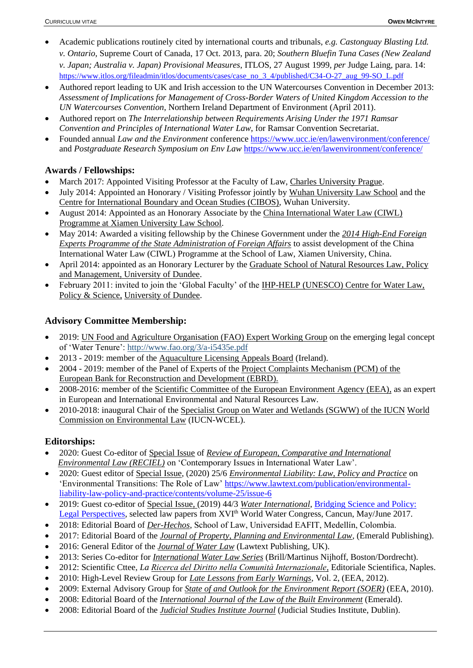- Academic publications routinely cited by international courts and tribunals, *e.g. Castonguay Blasting Ltd. v. Ontario,* Supreme Court of Canada, 17 Oct. 2013, para. 20; *Southern Bluefin Tuna Cases (New Zealand v. Japan; Australia v. Japan) Provisional Measures*, ITLOS, 27 August 1999, *per* Judge Laing, para. 14: [https://www.itlos.org/fileadmin/itlos/documents/cases/case\\_no\\_3\\_4/published/C34-O-27\\_aug\\_99-SO\\_L.pdf](https://www.itlos.org/fileadmin/itlos/documents/cases/case_no_3_4/published/C34-O-27_aug_99-SO_L.pdf)
- Authored report leading to UK and Irish accession to the UN Watercourses Convention in December 2013: *Assessment of Implications for Management of Cross-Border Waters of United Kingdom Accession to the UN Watercourses Convention*, Northern Ireland Department of Environment (April 2011).
- Authored report on *The Interrelationship between Requirements Arising Under the 1971 Ramsar Convention and Principles of International Water Law*, for Ramsar Convention Secretariat.
- Founded annual *Law and the Environment* conference <https://www.ucc.ie/en/lawenvironment/conference/> and *Postgraduate Research Symposium on Env Law* <https://www.ucc.ie/en/lawenvironment/conference/>

# **Awards / Fellowships:**

- March 2017: Appointed Visiting Professor at the Faculty of Law, Charles University Prague.
- July 2014: Appointed an Honorary / Visiting Professor jointly by Wuhan University Law School and the Centre for International Boundary and Ocean Studies (CIBOS), Wuhan University.
- August 2014: Appointed as an Honorary Associate by the China International Water Law (CIWL) Programme at Xiamen University Law School.
- May 2014: Awarded a visiting fellowship by the Chinese Government under the *2014 High-End Foreign Experts Programme of the State Administration of Foreign Affairs* to assist development of the China International Water Law (CIWL) Programme at the School of Law, Xiamen University, China.
- April 2014: appointed as an Honorary Lecturer by the Graduate School of Natural Resources Law, Policy and Management, University of Dundee.
- February 2011: invited to join the 'Global Faculty' of the IHP-HELP (UNESCO) Centre for Water Law, Policy & Science, University of Dundee.

# **Advisory Committee Membership:**

- 2019: UN Food and Agriculture Organisation (FAO) Expert Working Group on the emerging legal concept of 'Water Tenure':<http://www.fao.org/3/a-i5435e.pdf>
- 2013 2019: member of the Aquaculture Licensing Appeals Board (Ireland).
- 2004 2019: member of the Panel of Experts of the Project Complaints Mechanism (PCM) of the European Bank for Reconstruction and Development (EBRD).
- 2008-2016: member of the Scientific Committee of the European Environment Agency (EEA), as an expert in European and International Environmental and Natural Resources Law.
- 2010-2018: inaugural Chair of the Specialist Group on Water and Wetlands (SGWW) of the IUCN World Commission on Environmental Law (IUCN-WCEL).

# **Editorships:**

- 2020: Guest Co-editor of Special Issue of *Review of European, Comparative and International Environmental Law (RECIEL)* on 'Contemporary Issues in International Water Law'.
- 2020: Guest editor of Special Issue, (2020) 25/6 *Environmental Liability: Law, Policy and Practice* on 'Environmental Transitions: The Role of Law' [https://www.lawtext.com/publication/environmental](https://www.lawtext.com/publication/environmental-%20liability-law-policy-and-practice/contents/volume-25/issue-6)[liability-law-policy-and-practice/contents/volume-25/issue-6](https://www.lawtext.com/publication/environmental-%20liability-law-policy-and-practice/contents/volume-25/issue-6)
- 2019: Guest co-editor of Special Issue, (2019) 44/3 *Water International*, [Bridging Science and Policy:](https://www.tandfonline.com/doi/full/10.1080/02508060.2019.1600250)  [Legal Perspectives,](https://www.tandfonline.com/doi/full/10.1080/02508060.2019.1600250) selected law papers from XVI<sup>th</sup> World Water Congress, Cancun, May/June 2017.
- 2018: Editorial Board of *Der-Hechos*, School of Law, Universidad EAFIT, Medellín, Colombia.
- 2017: Editorial Board of the *Journal of Property, Planning and Environmental Law,* (Emerald Publishing).
- 2016: General Editor of the *Journal of Water Law* (Lawtext Publishing, UK).
- 2013: Series Co-editor for *International Water Law Series* (Brill/Martinus Nijhoff, Boston/Dordrecht).
- 2012: Scientific Cttee, *La Ricerca del Diritto nella Comunità Internazionale,* Editoriale Scientifica, Naples.
- 2010: High-Level Review Group for *Late Lessons from Early Warnings*, Vol. 2, (EEA, 2012).
- 2009: External Advisory Group for *State of and Outlook for the Environment Report (SOER)* (EEA, 2010).
- 2008: Editorial Board of the *International Journal of the Law of the Built Environment* (Emerald).
- 2008: Editorial Board of the *Judicial Studies Institute Journal* (Judicial Studies Institute, Dublin).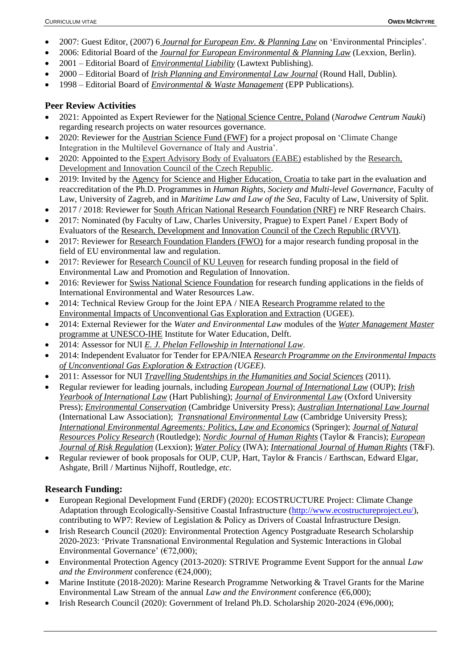- 2007: Guest Editor, (2007) 6 *Journal for European Env. & Planning Law* on 'Environmental Principles'.
- 2006: Editorial Board of the *Journal for European Environmental & Planning Law* (Lexxion, Berlin).
- 2001 Editorial Board of *Environmental Liability* (Lawtext Publishing).
- 2000 Editorial Board of *Irish Planning and Environmental Law Journal* (Round Hall, Dublin)*.*
- 1998 Editorial Board of *Environmental & Waste Management* (EPP Publications).

### **Peer Review Activities**

- 2021: Appointed as Expert Reviewer for the National Science Centre, Poland (*Narodwe Centrum Nauki*) regarding research projects on water resources governance.
- 2020: Reviewer for the Austrian Science Fund (FWF) for a project proposal on 'Climate Change Integration in the Multilevel Governance of Italy and Austria'.
- 2020: Appointed to the Expert Advisory Body of Evaluators (EABE) established by the Research, Development and Innovation Council of the Czech Republic.
- 2019: Invited by the Agency for Science and Higher Education, Croatia to take part in the evaluation and reaccreditation of the Ph.D. Programmes in *Human Rights, Society and Multi-level Governance*, Faculty of Law, University of Zagreb, and in *Maritime Law and Law of the Sea*, Faculty of Law, University of Split.
- 2017 / 2018: Reviewer for South African National Research Foundation (NRF) re NRF Research Chairs.
- 2017: Nominated (by Faculty of Law, Charles University, Prague) to Expert Panel / Expert Body of Evaluators of the Research, Development and Innovation Council of the Czech Republic (RVVI).
- 2017: Reviewer for Research Foundation Flanders (FWO) for a major research funding proposal in the field of EU environmental law and regulation.
- 2017: Reviewer for Research Council of KU Leuven for research funding proposal in the field of Environmental Law and Promotion and Regulation of Innovation.
- 2016: Reviewer for Swiss National Science Foundation for research funding applications in the fields of International Environmental and Water Resources Law.
- 2014: Technical Review Group for the Joint EPA / NIEA Research Programme related to the Environmental Impacts of Unconventional Gas Exploration and Extraction (UGEE).
- 2014: External Reviewer for the *Water and Environmental Law* modules of the *Water Management Master*  programme at UNESCO-IHE Institute for Water Education, Delft.
- 2014: Assessor for NUI *E. J. Phelan Fellowship in International Law*.
- 2014: Independent Evaluator for Tender for EPA/NIEA *Research Programme on the Environmental Impacts of Unconventional Gas Exploration & Extraction (UGEE)*.
- 2011: Assessor for NUI *Travelling Studentships in the Humanities and Social Sciences* (2011).
- Regular reviewer for leading journals, including *European Journal of International Law* (OUP); *Irish Yearbook of International Law* (Hart Publishing); *Journal of Environmental Law* (Oxford University Press); *Environmental Conservation* (Cambridge University Press); *Australian International Law Journal* (International Law Association); *Transnational Environmental Law* (Cambridge University Press); *International Environmental Agreements: Politics, Law and Economics* (Springer); *Journal of Natural Resources Policy Research* (Routledge); *Nordic Journal of Human Rights* (Taylor & Francis); *European Journal of Risk Regulation* (Lexxion); *Water Policy* (IWA); *International Journal of Human Rights* (T&F).
- Regular reviewer of book proposals for OUP, CUP, Hart, Taylor & Francis / Earthscan, Edward Elgar, Ashgate, Brill / Martinus Nijhoff, Routledge, *etc.*

# **Research Funding:**

- European Regional Development Fund (ERDF) (2020): ECOSTRUCTURE Project: Climate Change Adaptation through Ecologically-Sensitive Coastal Infrastructure [\(http://www.ecostructureproject.eu/\)](http://www.ecostructureproject.eu/), contributing to WP7: Review of Legislation & Policy as Drivers of Coastal Infrastructure Design.
- Irish Research Council (2020): Environmental Protection Agency Postgraduate Research Scholarship 2020-2023: 'Private Transnational Environmental Regulation and Systemic Interactions in Global Environmental Governance' ( $\epsilon$ 72,000);
- Environmental Protection Agency (2013-2020): STRIVE Programme Event Support for the annual *Law and the Environment* conference (€24,000);
- Marine Institute (2018-2020): Marine Research Programme Networking & Travel Grants for the Marine Environmental Law Stream of the annual *Law and the Environment* conference (€6,000);
- Irish Research Council (2020): Government of Ireland Ph.D. Scholarship 2020-2024 (€96,000);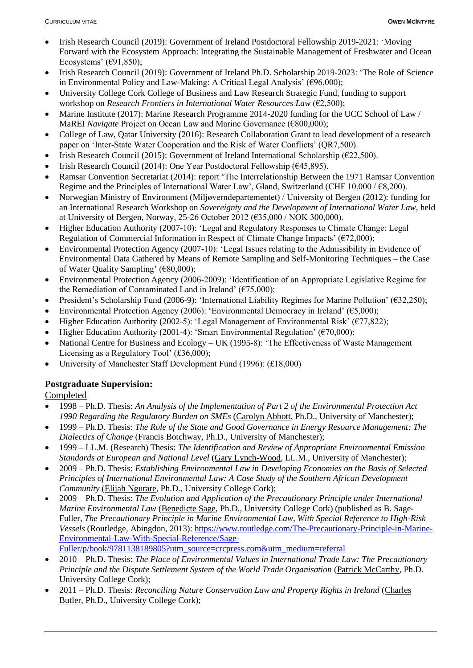- Irish Research Council (2019): Government of Ireland Postdoctoral Fellowship 2019-2021: 'Moving Forward with the Ecosystem Approach: Integrating the Sustainable Management of Freshwater and Ocean Ecosystems' ( $\epsilon$ 91,850);
- Irish Research Council (2019): Government of Ireland Ph.D. Scholarship 2019-2023: 'The Role of Science in Environmental Policy and Law-Making: A Critical Legal Analysis' ( $\epsilon$ 96,000);
- University College Cork College of Business and Law Research Strategic Fund, funding to support workshop on *Research Frontiers in International Water Resources Law* (€2,500);
- Marine Institute (2017): Marine Research Programme 2014-2020 funding for the UCC School of Law / MaREI *Navigate* Project on Ocean Law and Marine Governance (€800,000);
- College of Law, Qatar University (2016): Research Collaboration Grant to lead development of a research paper on 'Inter-State Water Cooperation and the Risk of Water Conflicts' (QR7,500).
- Irish Research Council (2015): Government of Ireland International Scholarship (€22,500).
- Irish Research Council (2014): One Year Postdoctoral Fellowship (€45,895).
- Ramsar Convention Secretariat (2014): report 'The Interrelationship Between the 1971 Ramsar Convention Regime and the Principles of International Water Law', Gland, Switzerland (CHF  $10,000 / 68,200$ ).
- Norwegian Ministry of Environment (Miljøverndepartementet) / University of Bergen (2012): funding for an International Research Workshop on *Sovereignty and the Development of International Water Law*, held at University of Bergen, Norway, 25-26 October 2012 (€35,000 / NOK 300,000).
- Higher Education Authority (2007-10): 'Legal and Regulatory Responses to Climate Change: Legal Regulation of Commercial Information in Respect of Climate Change Impacts' ( $\epsilon$ 72,000);
- Environmental Protection Agency (2007-10): 'Legal Issues relating to the Admissibility in Evidence of Environmental Data Gathered by Means of Remote Sampling and Self-Monitoring Techniques – the Case of Water Quality Sampling' (€80,000);
- Environmental Protection Agency (2006-2009): 'Identification of an Appropriate Legislative Regime for the Remediation of Contaminated Land in Ireland' ( $\epsilon$ 75,000);
- President's Scholarship Fund (2006-9): 'International Liability Regimes for Marine Pollution' (€32,250);
- Environmental Protection Agency (2006): 'Environmental Democracy in Ireland' ( $\epsilon$ 5,000);
- Higher Education Authority (2002-5): 'Legal Management of Environmental Risk' (€77,822);
- Higher Education Authority (2001-4): 'Smart Environmental Regulation' ( $\epsilon$ 70,000);
- National Centre for Business and Ecology UK (1995-8): 'The Effectiveness of Waste Management Licensing as a Regulatory Tool' (£36,000);
- University of Manchester Staff Development Fund (1996): (£18,000)

# **Postgraduate Supervision:**

Completed

- 1998 Ph.D. Thesis: *An Analysis of the Implementation of Part 2 of the Environmental Protection Act 1990 Regarding the Regulatory Burden on SMEs* (Carolyn Abbott, Ph.D., University of Manchester);
- 1999 Ph.D. Thesis: *The Role of the State and Good Governance in Energy Resource Management: The Dialectics of Change* (Francis Botchway, Ph.D., University of Manchester);
- 1999 LL.M. (Research) Thesis: *The Identification and Review of Appropriate Environmental Emission Standards at European and National Level* (Gary Lynch-Wood, LL.M., University of Manchester);
- 2009 Ph.D. Thesis: *Establishing Environmental Law in Developing Economies on the Basis of Selected Principles of International Environmental Law: A Case Study of the Southern African Development Community* (Elijah Ngurare, Ph.D., University College Cork);
- 2009 Ph.D. Thesis: *The Evolution and Application of the Precautionary Principle under International Marine Environmental Law* (Benedicte Sage, Ph.D., University College Cork) (published as B. Sage-Fuller, *The Precautionary Principle in Marine Environmental Law, With Special Reference to High-Risk Vessels* (Routledge, Abingdon, 2013): [https://www.routledge.com/The-Precautionary-Principle-in-Marine-](https://www.routledge.com/The-Precautionary-Principle-in-Marine-Environmental-Law-With-Special-Reference/Sage-Fuller/p/book/9781138189805?utm_source=crcpress.com&utm_medium=referral)[Environmental-Law-With-Special-Reference/Sage-](https://www.routledge.com/The-Precautionary-Principle-in-Marine-Environmental-Law-With-Special-Reference/Sage-Fuller/p/book/9781138189805?utm_source=crcpress.com&utm_medium=referral)[Fuller/p/book/9781138189805?utm\\_source=crcpress.com&utm\\_medium=referral](https://www.routledge.com/The-Precautionary-Principle-in-Marine-Environmental-Law-With-Special-Reference/Sage-Fuller/p/book/9781138189805?utm_source=crcpress.com&utm_medium=referral)
- 2010 Ph.D. Thesis: *The Place of Environmental Values in International Trade Law: The Precautionary Principle and the Dispute Settlement System of the World Trade Organisation* (Patrick McCarthy, Ph.D. University College Cork);
- 2011 Ph.D. Thesis: *Reconciling Nature Conservation Law and Property Rights in Ireland* (Charles Butler, Ph.D., University College Cork);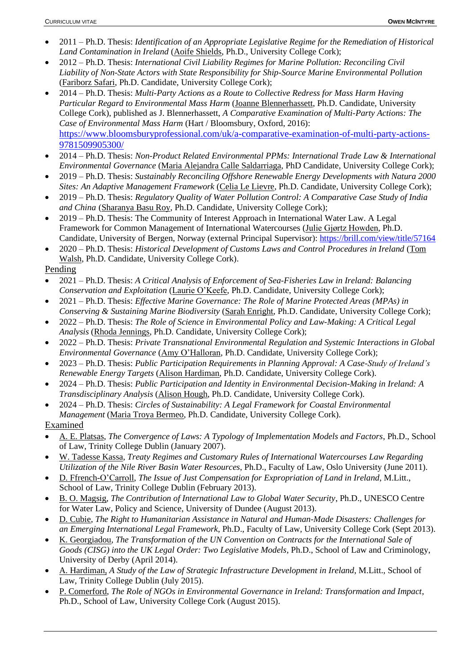- 2011 Ph.D. Thesis: *Identification of an Appropriate Legislative Regime for the Remediation of Historical Land Contamination in Ireland* (Aoife Shields, Ph.D., University College Cork);
- 2012 Ph.D. Thesis: *International Civil Liability Regimes for Marine Pollution: Reconciling Civil Liability of Non-State Actors with State Responsibility for Ship-Source Marine Environmental Pollution* (Fariborz Safari, Ph.D. Candidate, University College Cork);
- 2014 Ph.D. Thesis: *Multi-Party Actions as a Route to Collective Redress for Mass Harm Having Particular Regard to Environmental Mass Harm* (Joanne Blennerhassett, Ph.D. Candidate, University College Cork), published as J. Blennerhassett, *A Comparative Examination of Multi-Party Actions: The Case of Environmental Mass Harm* (Hart / Bloomsbury, Oxford, 2016): [https://www.bloomsburyprofessional.com/uk/a-comparative-examination-of-multi-party-actions-](https://www.bloomsburyprofessional.com/uk/a-comparative-examination-of-multi-party-actions-9781509905300/)[9781509905300/](https://www.bloomsburyprofessional.com/uk/a-comparative-examination-of-multi-party-actions-9781509905300/)
- 2014 Ph.D. Thesis: *Non-Product Related Environmental PPMs: International Trade Law & International Environmental Governance* (Maria Alejandra Calle Saldarriaga, PhD Candidate, University College Cork);
- 2019 Ph.D. Thesis: *Sustainably Reconciling Offshore Renewable Energy Developments with Natura 2000 Sites: An Adaptive Management Framework* (Celia Le Lievre, Ph.D. Candidate, University College Cork);
- 2019 Ph.D. Thesis: *Regulatory Quality of Water Pollution Control: A Comparative Case Study of India and China* (Sharanya Basu Roy, Ph.D. Candidate, University College Cork);
- 2019 Ph.D. Thesis: The Community of Interest Approach in International Water Law. A Legal Framework for Common Management of International Watercourses (Julie Gjørtz Howden, Ph.D. Candidate, University of Bergen, Norway (external Principal Supervisor):<https://brill.com/view/title/57164>
- 2020 Ph.D. Thesis: *Historical Development of Customs Laws and Control Procedures in Ireland* (Tom Walsh, Ph.D. Candidate, University College Cork).

# Pending

- 2021 Ph.D. Thesis: *A Critical Analysis of Enforcement of Sea-Fisheries Law in Ireland: Balancing Conservation and Exploitation* (Laurie O'Keefe, Ph.D. Candidate, University College Cork);
- 2021 Ph.D. Thesis: *Effective Marine Governance: The Role of Marine Protected Areas (MPAs) in Conserving & Sustaining Marine Biodiversity* (Sarah Enright, Ph.D. Candidate, University College Cork);
- 2022 Ph.D. Thesis: *The Role of Science in Environmental Policy and Law-Making: A Critical Legal Analysis* (Rhoda Jennings, Ph.D. Candidate, University College Cork);
- 2022 Ph.D. Thesis: *Private Transnational Environmental Regulation and Systemic Interactions in Global Environmental Governance* (Amy O'Halloran, Ph.D. Candidate, University College Cork);
- 2023 Ph.D. Thesis: *Public Participation Requirements in Planning Approval: A Case-Study of Ireland's Renewable Energy Targets* (Alison Hardiman, Ph.D. Candidate, University College Cork).
- 2024 Ph.D. Thesis: *Public Participation and Identity in Environmental Decision-Making in Ireland: A Transdisciplinary Analysis* (Alison Hough, Ph.D. Candidate, University College Cork).
- 2024 Ph.D. Thesis: *Circles of Sustainability: A Legal Framework for Coastal Environmental Management* (Maria Troya Bermeo, Ph.D. Candidate, University College Cork).

# Examined

- A. E. Platsas, *The Convergence of Laws: A Typology of Implementation Models and Factors*, Ph.D., School of Law, Trinity College Dublin (January 2007).
- W. Tadesse Kassa, *Treaty Regimes and Customary Rules of International Watercourses Law Regarding Utilization of the Nile River Basin Water Resources*, Ph.D., Faculty of Law, Oslo University (June 2011).
- D. Ffrench-O'Carroll, *The Issue of Just Compensation for Expropriation of Land in Ireland*, M.Litt., School of Law, Trinity College Dublin (February 2013).
- B. O. Magsig, *The Contribution of International Law to Global Water Security*, Ph.D., UNESCO Centre for Water Law, Policy and Science, University of Dundee (August 2013).
- D. Cubie, *The Right to Humanitarian Assistance in Natural and Human-Made Disasters: Challenges for an Emerging International Legal Framework*, Ph.D., Faculty of Law, University College Cork (Sept 2013).
- K. Georgiadou, *The Transformation of the UN Convention on Contracts for the International Sale of Goods (CISG) into the UK Legal Order: Two Legislative Models*, Ph.D., School of Law and Criminology, University of Derby (April 2014).
- A. Hardiman, *A Study of the Law of Strategic Infrastructure Development in Ireland*, M.Litt., School of Law, Trinity College Dublin (July 2015).
- P. Comerford, *The Role of NGOs in Environmental Governance in Ireland: Transformation and Impact*, Ph.D., School of Law, University College Cork (August 2015).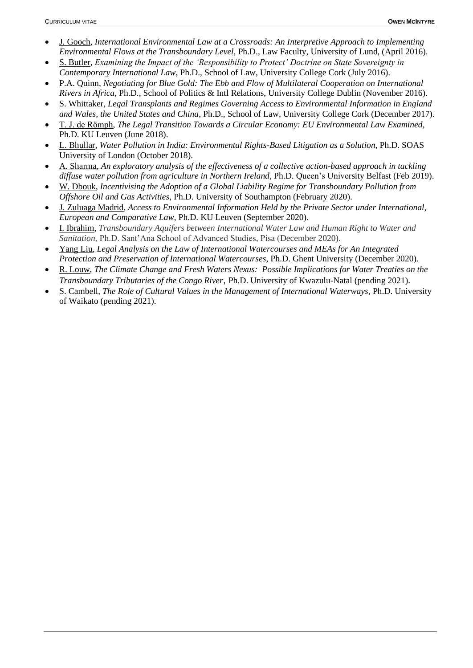- J. Gooch, *International Environmental Law at a Crossroads: An Interpretive Approach to Implementing Environmental Flows at the Transboundary Level,* Ph.D., Law Faculty, University of Lund, (April 2016).
- S. Butler, *Examining the Impact of the 'Responsibility to Protect' Doctrine on State Sovereignty in Contemporary International Law*, Ph.D., School of Law, University College Cork (July 2016).
- P.A. Quinn, *Negotiating for Blue Gold: The Ebb and Flow of Multilateral Cooperation on International Rivers in Africa*, Ph.D., School of Politics & Intl Relations, University College Dublin (November 2016).
- S. Whittaker, *Legal Transplants and Regimes Governing Access to Environmental Information in England and Wales, the United States and China,* Ph.D., School of Law, University College Cork (December 2017).
- T. J. de Römph, *The Legal Transition Towards a Circular Economy: EU Environmental Law Examined*, Ph.D. KU Leuven (June 2018).
- L. Bhullar, *Water Pollution in India: Environmental Rights-Based Litigation as a Solution*, Ph.D. SOAS University of London (October 2018).
- A. Sharma, *An exploratory analysis of the effectiveness of a collective action-based approach in tackling diffuse water pollution from agriculture in Northern Ireland,* Ph.D. Queen's University Belfast (Feb 2019).
- W. Dbouk, *Incentivising the Adoption of a Global Liability Regime for Transboundary Pollution from Offshore Oil and Gas Activities*, Ph.D. University of Southampton (February 2020).
- J. Zuluaga Madrid, *Access to Environmental Information Held by the Private Sector under International, European and Comparative Law*, Ph.D. KU Leuven (September 2020).
- I. Ibrahim, *Transboundary Aquifers between International Water Law and Human Right to Water and Sanitation*, Ph.D. Sant'Ana School of Advanced Studies, Pisa (December 2020).
- Yang Liu, *Legal Analysis on the Law of International Watercourses and MEAs for An Integrated Protection and Preservation of International Watercourses*, Ph.D. Ghent University (December 2020).
- R. Louw, *The Climate Change and Fresh Waters Nexus: Possible Implications for Water Treaties on the Transboundary Tributaries of the Congo River*, Ph.D. University of Kwazulu-Natal (pending 2021).
- S. Cambell, *The Role of Cultural Values in the Management of International Waterways,* Ph.D. University of Waikato (pending 2021).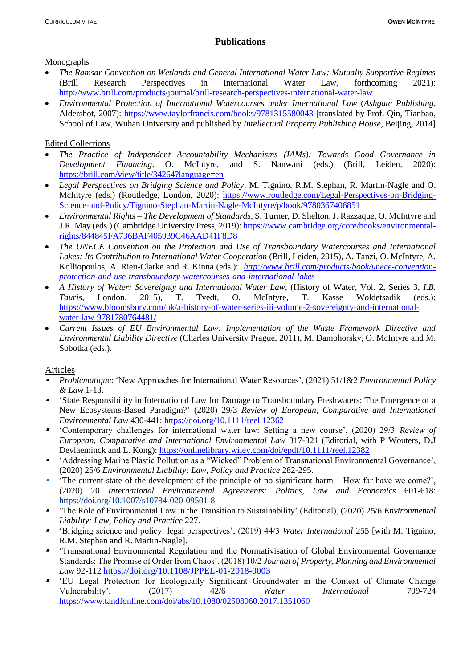### **Publications**

#### Monographs

- *The Ramsar Convention on Wetlands and General International Water Law: Mutually Supportive Regimes* (Brill Research Perspectives in International Water Law, forthcoming 2021): <http://www.brill.com/products/journal/brill-research-perspectives-international-water-law>
- *Environmental Protection of International Watercourses under International Law* (*Ashgate Publishing*, Aldershot, 2007):<https://www.taylorfrancis.com/books/9781315580043> [translated by Prof. Qin, Tianbao, School of Law, Wuhan University and published by *Intellectual Property Publishing House*, Beijing, 2014]

### Edited Collections

- *The Practice of Independent Accountability Mechanisms (IAMs): Towards Good Governance in Development Financing,* O. McIntyre, and S. Nanwani (eds.) (Brill, Leiden, 2020): <https://brill.com/view/title/34264?language=en>
- *Legal Perspectives on Bridging Science and Policy*, M. Tignino, R.M. Stephan, R. Martin-Nagle and O. McIntyre (eds.) (Routledge, London, 2020): [https://www.routledge.com/Legal-Perspectives-on-Bridging-](https://www.routledge.com/Legal-Perspectives-on-Bridging-Science-and-Policy/Tignino-Stephan-Martin-Nagle-McIntyre/p/book/9780367406851)[Science-and-Policy/Tignino-Stephan-Martin-Nagle-McIntyre/p/book/9780367406851](https://www.routledge.com/Legal-Perspectives-on-Bridging-Science-and-Policy/Tignino-Stephan-Martin-Nagle-McIntyre/p/book/9780367406851)
- *Environmental Rights – The Development of Standards*, S. Turner, D. Shelton, J. Razzaque, O. McIntyre and J.R. May (eds.) (Cambridge University Press, 2019)[: https://www.cambridge.org/core/books/environmental](https://www.cambridge.org/core/books/environmental-rights/844845FA736BAF405939C46AAD41F8D8)[rights/844845FA736BAF405939C46AAD41F8D8](https://www.cambridge.org/core/books/environmental-rights/844845FA736BAF405939C46AAD41F8D8)
- *The UNECE Convention on the Protection and Use of Transboundary Watercourses and International Lakes: Its Contribution to International Water Cooperation* (Brill, Leiden, 2015), A. Tanzi, O. McIntyre, A. Kolliopoulos, A. Rieu-Clarke and R. Kinna (eds.): *[http://www.brill.com/products/book/unece-convention](http://www.brill.com/products/book/unece-convention-protection-and-use-transboundary-watercourses-and-international-lakes)[protection-and-use-transboundary-watercourses-and-international-lakes](http://www.brill.com/products/book/unece-convention-protection-and-use-transboundary-watercourses-and-international-lakes)*
- *A History of Water: Sovereignty and International Water Law*, (History of Water, Vol. 2, Series 3, *I.B. Tauris*, London, 2015), T. Tvedt, O. McIntyre, T. Kasse Woldetsadik (eds.): [https://www.bloomsbury.com/uk/a-history-of-water-series-iii-volume-2-sovereignty-and-international](https://www.bloomsbury.com/uk/a-history-of-water-series-iii-volume-2-sovereignty-and-international-water-law-9781780764481/)[water-law-9781780764481/](https://www.bloomsbury.com/uk/a-history-of-water-series-iii-volume-2-sovereignty-and-international-water-law-9781780764481/)
- *Current Issues of EU Environmental Law: Implementation of the Waste Framework Directive and Environmental Liability Directive* (Charles University Prague, 2011), M. Damohorsky, O. McIntyre and M. Sobotka (eds.).

# Articles

- ▪ *Problematique*: 'New Approaches for International Water Resources', (2021) 51/1&2 *Environmental Policy & Law* 1-13.
- ▪ 'State Responsibility in International Law for Damage to Transboundary Freshwaters: The Emergence of a New Ecosystems-Based Paradigm?' (2020) 29/3 *Review of European, Comparative and International Environmental Law* 430-441: <https://doi.org/10.1111/reel.12362>
- 'Contemporary challenges for international water law: Setting a new course', (2020) 29/3 *Review of European, Comparative and International Environmental Law* 317-321 (Editorial, with P Wouters, D.J Devlaeminck and L. Kong):<https://onlinelibrary.wiley.com/doi/epdf/10.1111/reel.12382>
- ▪ 'Addressing Marine Plastic Pollution as a "Wicked" Problem of Transnational Environmental Governance', (2020) 25/6 *Environmental Liability: Law, Policy and Practice* 282-295.
- ▪ 'The current state of the development of the principle of no significant harm – How far have we come?', (2020) 20 *International Environmental Agreements: Politics, Law and Economics* 601-618: <https://doi.org/10.1007/s10784-020-09501-8>
- 'The Role of Environmental Law in the Transition to Sustainability' (Editorial), (2020) 25/6 *Environmental Liability: Law, Policy and Practice* 227.
- ▪ 'Bridging science and policy: legal perspectives', (2019) 44/3 *Water International* 255 [with M. Tignino, R.M. Stephan and R. Martin-Nagle].
- ▪ 'Transnational Environmental Regulation and the Normativisation of Global Environmental Governance Standards: The Promise of Order from Chaos', (2018) 10/2 *Journal of Property, Planning and Environmental Law* 92-112<https://doi.org/10.1108/JPPEL-01-2018-0003>
- ▪ 'EU Legal Protection for Ecologically Significant Groundwater in the Context of Climate Change Vulnerability', (2017) 42/6 *Water International* 709-724 <https://www.tandfonline.com/doi/abs/10.1080/02508060.2017.1351060>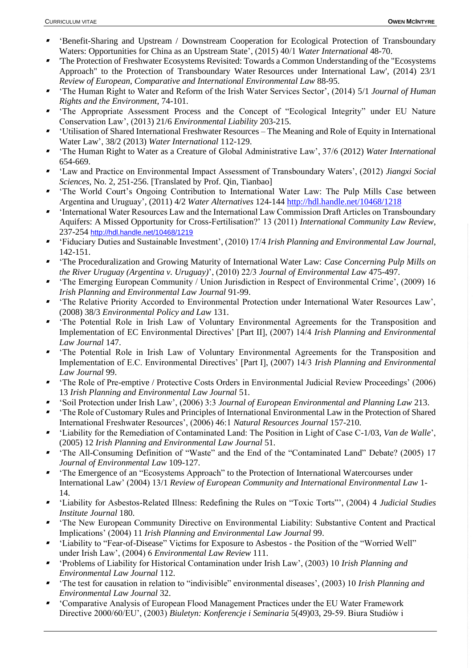- ▪ 'Benefit-Sharing and Upstream / Downstream Cooperation for Ecological Protection of Transboundary Waters: Opportunities for China as an Upstream State', (2015) 40/1 *Water International* 48-70.
- ▪ 'The Protection of Freshwater Ecosystems Revisited: Towards a Common Understanding of the "Ecosystems Approach" to the Protection of Transboundary Water Resources under International Law', (2014) 23/1 *Review of European, Comparative and International Environmental Law* 88-95.
- ▪ 'The Human Right to Water and Reform of the Irish Water Services Sector', (2014) 5/1 *Journal of Human Rights and the Environment*, 74-101.
- ▪ 'The Appropriate Assessment Process and the Concept of "Ecological Integrity" under EU Nature Conservation Law', (2013) 21/6 *Environmental Liability* 203-215.
- ▪ 'Utilisation of Shared International Freshwater Resources – The Meaning and Role of Equity in International Water Law', 38/2 (2013) *Water International* 112-129.
- ▪ 'The Human Right to Water as a Creature of Global Administrative Law', 37/6 (2012) *Water International* 654-669.
- ▪ 'Law and Practice on Environmental Impact Assessment of Transboundary Waters', (2012) *Jiangxi Social Sciences*, No. 2, 251-256. [Translated by Prof. Qin, Tianbao]
- ▪ 'The World Court's Ongoing Contribution to International Water Law: The Pulp Mills Case between Argentina and Uruguay', (2011) 4/2 *Water Alternatives* 124-144<http://hdl.handle.net/10468/1218>
- ▪ 'International Water Resources Law and the International Law Commission Draft Articles on Transboundary Aquifers: A Missed Opportunity for Cross-Fertilisation?' 13 (2011) *International Community Law Review*, 237-254 <http://hdl.handle.net/10468/1219>
- ▪ 'Fiduciary Duties and Sustainable Investment', (2010) 17/4 *Irish Planning and Environmental Law Journal*, 142-151.
- ▪ 'The Proceduralization and Growing Maturity of International Water Law: *Case Concerning Pulp Mills on the River Uruguay (Argentina v. Uruguay)*', (2010) 22/3 *Journal of Environmental Law* 475-497.
- ▪ 'The Emerging European Community / Union Jurisdiction in Respect of Environmental Crime', (2009) 16 *Irish Planning and Environmental Law Journal* 91-99.
- ▪ 'The Relative Priority Accorded to Environmental Protection under International Water Resources Law', (2008) 38/3 *Environmental Policy and Law* 131.
- ▪ 'The Potential Role in Irish Law of Voluntary Environmental Agreements for the Transposition and Implementation of EC Environmental Directives' [Part II], (2007) 14/4 *Irish Planning and Environmental Law Journal* 147.
- ▪ 'The Potential Role in Irish Law of Voluntary Environmental Agreements for the Transposition and Implementation of E.C. Environmental Directives' [Part I], (2007) 14/3 *Irish Planning and Environmental Law Journal* 99.
- ▪ 'The Role of Pre-emptive / Protective Costs Orders in Environmental Judicial Review Proceedings' (2006) 13 *Irish Planning and Environmental Law Journal* 51.
- ▪'Soil Protection under Irish Law', (2006) 3:3 *Journal of European Environmental and Planning Law* 213.
- ▪ 'The Role of Customary Rules and Principles of International Environmental Law in the Protection of Shared International Freshwater Resources', (2006) 46:1 *Natural Resources Journal* 157-210.
- $\blacksquare$  'Liability for the Remediation of Contaminated Land: The Position in Light of Case C-1/03, *Van de Walle*', (2005) 12 *Irish Planning and Environmental Law Journal* 51.
- ▪ 'The All-Consuming Definition of "Waste" and the End of the "Contaminated Land" Debate? (2005) 17 *Journal of Environmental Law* 109-127.
- ▪ 'The Emergence of an "Ecosystems Approach" to the Protection of International Watercourses under International Law' (2004) 13/1 *Review of European Community and International Environmental Law* 1- 14.
- ▪ 'Liability for Asbestos-Related Illness: Redefining the Rules on "Toxic Torts"', (2004) 4 *Judicial Studies Institute Journal* 180.
- ▪ 'The New European Community Directive on Environmental Liability: Substantive Content and Practical Implications' (2004) 11 *Irish Planning and Environmental Law Journal* 99.
- ▪ 'Liability to "Fear-of-Disease" Victims for Exposure to Asbestos - the Position of the "Worried Well" under Irish Law', (2004) 6 *Environmental Law Review* 111.
- ▪ 'Problems of Liability for Historical Contamination under Irish Law', (2003) 10 *Irish Planning and Environmental Law Journal* 112.
- ▪ 'The test for causation in relation to "indivisible" environmental diseases', (2003) 10 *Irish Planning and Environmental Law Journal* 32.
- ▪ 'Comparative Analysis of European Flood Management Practices under the EU Water Framework Directive 2000/60/EU', (2003) *Biuletyn: Konferencje i Seminaria* 5(49)03, 29-59. Biura Studiów i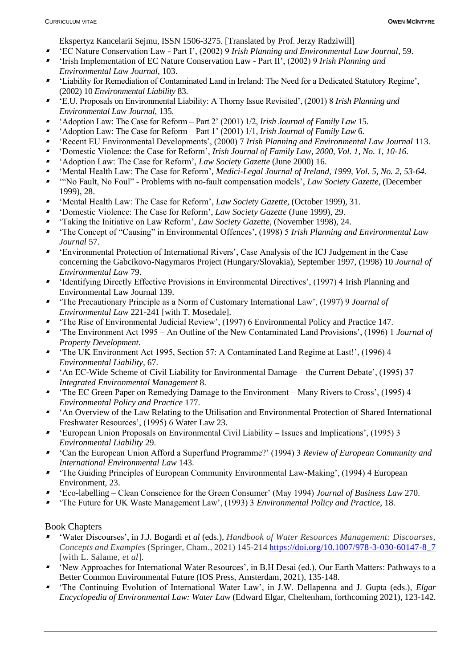Ekspertyz Kancelarii Sejmu, ISSN 1506-3275. [Translated by Prof. Jerzy Radziwill]

- ▪'EC Nature Conservation Law - Part I', (2002) 9 *Irish Planning and Environmental Law Journal*, 59.
- ▪ 'Irish Implementation of EC Nature Conservation Law - Part II', (2002) 9 *Irish Planning and Environmental Law Journal*, 103.
- ▪ 'Liability for Remediation of Contaminated Land in Ireland: The Need for a Dedicated Statutory Regime', (2002) 10 *Environmental Liability* 83.
- 'E.U. Proposals on Environmental Liability: A Thorny Issue Revisited', (2001) 8 *Irish Planning and Environmental Law Journal*, 135.
- ▪'Adoption Law: The Case for Reform – Part 2' (2001) 1/2, *Irish Journal of Family Law* 15.
- ▪'Adoption Law: The Case for Reform – Part 1' (2001) 1/1, *Irish Journal of Family Law* 6.
- ▪'Recent EU Environmental Developments', (2000) 7 *Irish Planning and Environmental Law Journal* 113.
- ▪'Domestic Violence: the Case for Reform', *Irish Journal of Family Law, 2000, Vol. 1, No. 1, 10-16.*
- ▪'Adoption Law: The Case for Reform', *Law Society Gazette* (June 2000) 16.
- ▪'Mental Health Law: The Case for Reform'*, Medici-Legal Journal of Ireland, 1999, Vol. 5, No. 2, 53-64.*
- ▪ '"No Fault, No Foul" - Problems with no-fault compensation models', *Law Society Gazette*, (December 1999), 28.
- ▪'Mental Health Law: The Case for Reform', *Law Society Gazette,* (October 1999), 31.
- ▪'Domestic Violence: The Case for Reform', *Law Society Gazette* (June 1999), 29.
- ▪'Taking the Initiative on Law Reform', *Law Society Gazette*, (November 1998), 24.
- ▪ 'The Concept of "Causing" in Environmental Offences', (1998) 5 *Irish Planning and Environmental Law Journal* 57.
- 'Environmental Protection of International Rivers', Case Analysis of the ICJ Judgement in the Case concerning the Gabcikovo-Nagymaros Project (Hungary/Slovakia), September 1997, (1998) 10 *Journal of Environmental Law* 79.
- 'Identifying Directly Effective Provisions in Environmental Directives', (1997) 4 Irish Planning and Environmental Law Journal 139.
- ▪ 'The Precautionary Principle as a Norm of Customary International Law', (1997) 9 *Journal of Environmental Law* 221-241 [with T. Mosedale].
- ▪'The Rise of Environmental Judicial Review', (1997) 6 Environmental Policy and Practice 147.
- 'The Environment Act 1995 An Outline of the New Contaminated Land Provisions', (1996) 1 *Journal of Property Development*.
- 'The UK Environment Act 1995, Section 57: A Contaminated Land Regime at Last!', (1996) 4 *Environmental Liability*, 67.
- ▪ 'An EC-Wide Scheme of Civil Liability for Environmental Damage – the Current Debate', (1995) 37 *Integrated Environmental Management* 8.
- ▪ 'The EC Green Paper on Remedying Damage to the Environment – Many Rivers to Cross', (1995) 4 *Environmental Policy and Practice* 177.
- 'An Overview of the Law Relating to the Utilisation and Environmental Protection of Shared International Freshwater Resources', (1995) 6 Water Law 23.
- 'European Union Proposals on Environmental Civil Liability Issues and Implications', (1995) 3 *Environmental Liability* 29.
- ▪ 'Can the European Union Afford a Superfund Programme?' (1994) 3 *Review of European Community and International Environmental Law* 143.
- ▪ 'The Guiding Principles of European Community Environmental Law-Making', (1994) 4 European Environment, 23.
- ▪'Eco-labelling – Clean Conscience for the Green Consumer' (May 1994) *Journal of Business Law* 270.
- ▪'The Future for UK Waste Management Law', (1993) 3 *Environmental Policy and Practice*, 18.

# Book Chapters

- ▪ 'Water Discourses', in J.J. Bogardi *et al* (eds.), *Handbook of Water Resources Management: Discourses, Concepts and Examples* (Springer, Cham., 2021) 145-214 [https://doi.org/10.1007/978-3-030-60147-8\\_7](https://doi.org/10.1007/978-3-030-60147-8_7) [with L. Salame, *et al*].
- 'New Approaches for International Water Resources', in B.H Desai (ed.), Our Earth Matters: Pathways to a Better Common Environmental Future (IOS Press, Amsterdam, 2021), 135-148.
- ▪ 'The Continuing Evolution of International Water Law', in J.W. Dellapenna and J. Gupta (eds.), *Elgar Encyclopedia of Environmental Law: Water Law* (Edward Elgar, Cheltenham, forthcoming 2021), 123-142.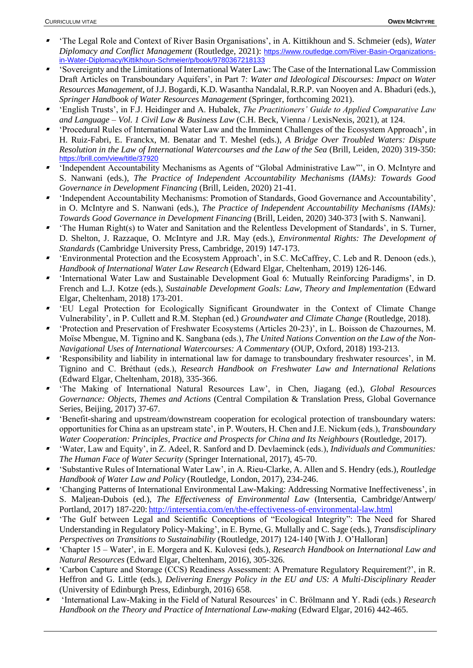- ▪ 'The Legal Role and Context of River Basin Organisations', in A. Kittikhoun and S. Schmeier (eds), *Water Diplomacy and Conflict Management* (Routledge, 2021): [https://www.routledge.com/River-Basin-Organizations](https://www.routledge.com/River-Basin-Organizations-in-Water-Diplomacy/Kittikhoun-Schmeier/p/book/9780367218133)[in-Water-Diplomacy/Kittikhoun-Schmeier/p/book/9780367218133](https://www.routledge.com/River-Basin-Organizations-in-Water-Diplomacy/Kittikhoun-Schmeier/p/book/9780367218133)
- ▪ 'Sovereignty and the Limitations of International Water Law: The Case of the International Law Commission Draft Articles on Transboundary Aquifers', in Part 7: *Water and Ideological Discourses: Impact on Water Resources Management*, of J.J. Bogardi, K.D. Wasantha Nandalal, R.R.P. van Nooyen and A. Bhaduri (eds.), *Springer Handbook of Water Resources Management* (Springer, forthcoming 2021).
- ▪ 'English Trusts', in F.J. Heidinger and A. Hubalek, *The Practitioners' Guide to Applied Comparative Law and Language – Vol. 1 Civil Law & Business Law* (C.H. Beck, Vienna / LexisNexis, 2021), at 124.
- ▪ 'Procedural Rules of International Water Law and the Imminent Challenges of the Ecosystem Approach', in H. Ruiz-Fabri, E. Franckx, M. Benatar and T. Meshel (eds.), *A Bridge Over Troubled Waters: Dispute Resolution in the Law of International Watercourses and the Law of the Sea* (Brill, Leiden, 2020) 319-350: https://brill.com/view/title/37920
- ▪ 'Independent Accountability Mechanisms as Agents of "Global Administrative Law"', in O. McIntyre and S. Nanwani (eds.), *The Practice of Independent Accountability Mechanisms (IAMs): Towards Good Governance in Development Financing* (Brill, Leiden, 2020) 21-41.
- ▪ 'Independent Accountability Mechanisms: Promotion of Standards, Good Governance and Accountability', in O. McIntyre and S. Nanwani (eds.), *The Practice of Independent Accountability Mechanisms (IAMs): Towards Good Governance in Development Financing* (Brill, Leiden, 2020) 340-373 [with S. Nanwani].
- ▪ 'The Human Right(s) to Water and Sanitation and the Relentless Development of Standards', in S. Turner, D. Shelton, J. Razzaque, O. McIntyre and J.R. May (eds.), *Environmental Rights: The Development of Standards* (Cambridge University Press, Cambridge, 2019) 147-173.
- ▪ 'Environmental Protection and the Ecosystem Approach', in S.C. McCaffrey, C. Leb and R. Denoon (eds.), *Handbook of International Water Law Research* (Edward Elgar, Cheltenham, 2019) 126-146.
- ▪ 'International Water Law and Sustainable Development Goal 6: Mutually Reinforcing Paradigms', in D. French and L.J. Kotze (eds.), *Sustainable Development Goals: Law, Theory and Implementation* (Edward Elgar, Cheltenham, 2018) 173-201.
- ▪ 'EU Legal Protection for Ecologically Significant Groundwater in the Context of Climate Change Vulnerability', in P. Cullett and R.M. Stephan (ed.) *Groundwater and Climate Change* (Routledge, 2018).
- ▪ 'Protection and Preservation of Freshwater Ecosystems (Articles 20-23)', in L. Boisson de Chazournes, M. Moïse Mbengue, M. Tignino and K. Sangbana (eds.), *The United Nations Convention on the Law of the Non-Navigational Uses of International Watercourses: A Commentary* (OUP, Oxford, 2018) 193-213.
- ▪ 'Responsibility and liability in international law for damage to transboundary freshwater resources', in M. Tignino and C. Bréthaut (eds.), *Research Handbook on Freshwater Law and International Relations* (Edward Elgar, Cheltenham, 2018), 335-366.
- ▪ 'The Making of International Natural Resources Law', in Chen, Jiagang (ed.), *Global Resources Governance: Objects, Themes and Actions* (Central Compilation & Translation Press, Global Governance Series, Beijing, 2017) 37-67.
- ▪ 'Benefit-sharing and upstream/downstream cooperation for ecological protection of transboundary waters: opportunities for China as an upstream state', in P. Wouters, H. Chen and J.E. Nickum (eds.), *Transboundary Water Cooperation: Principles, Practice and Prospects for China and Its Neighbours* (Routledge, 2017).
- ▪ 'Water, Law and Equity', in Z. Adeel, R. Sanford and D. Devlaeminck (eds.), *Individuals and Communities: The Human Face of Water Security* (Springer International, 2017), 45-70.
- ▪ 'Substantive Rules of International Water Law', in A. Rieu-Clarke, A. Allen and S. Hendry (eds.), *Routledge Handbook of Water Law and Policy* (Routledge, London, 2017), 234-246.
- ▪ 'Changing Patterns of International Environmental Law-Making: Addressing Normative Ineffectiveness', in S. Maljean-Dubois (ed.), *The Effectiveness of Environmental Law* (Intersentia, Cambridge/Antwerp/ Portland, 2017) 187-220: <http://intersentia.com/en/the-effectiveness-of-environmental-law.html>
- ▪ 'The Gulf between Legal and Scientific Conceptions of "Ecological Integrity": The Need for Shared Understanding in Regulatory Policy-Making', in E. Byrne, G. Mullally and C. Sage (eds.), *Transdisciplinary Perspectives on Transitions to Sustainability* (Routledge, 2017) 124-140 [With J. O'Halloran]
- ▪ 'Chapter 15 – Water', in E. Morgera and K. Kulovesi (eds.), *Research Handbook on International Law and Natural Resources* (Edward Elgar, Cheltenham, 2016), 305-326.
- ▪ 'Carbon Capture and Storage (CCS) Readiness Assessment: A Premature Regulatory Requirement?', in R. Heffron and G. Little (eds.), *Delivering Energy Policy in the EU and US: A Multi-Disciplinary Reader* (University of Edinburgh Press, Edinburgh, 2016) 658.
- ▪ 'International Law-Making in the Field of Natural Resources' in C. Brölmann and Y. Radi (eds.) *Research Handbook on the Theory and Practice of International Law-making* (Edward Elgar, 2016) 442-465.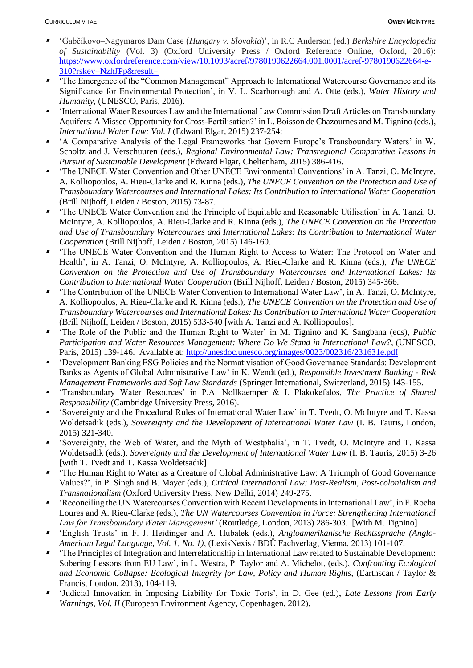- ▪ 'Gabčíkovo–Nagymaros Dam Case (*Hungary v. Slovakia*)', in R.C Anderson (ed.) *Berkshire Encyclopedia of Sustainability* (Vol. 3) (Oxford University Press / Oxford Reference Online, Oxford, 2016): [https://www.oxfordreference.com/view/10.1093/acref/9780190622664.001.0001/acref-9780190622664-e-](https://www.oxfordreference.com/view/10.1093/acref/9780190622664.001.0001/acref-9780190622664-e-310?rskey=NzhJPp&result=)[310?rskey=NzhJPp&result=](https://www.oxfordreference.com/view/10.1093/acref/9780190622664.001.0001/acref-9780190622664-e-310?rskey=NzhJPp&result=)
- ▪ 'The Emergence of the "Common Management" Approach to International Watercourse Governance and its Significance for Environmental Protection', in V. L. Scarborough and A. Otte (eds.), *Water History and Humanity*, (UNESCO, Paris, 2016).
- ▪ 'International Water Resources Law and the International Law Commission Draft Articles on Transboundary Aquifers: A Missed Opportunity for Cross-Fertilisation?' in L. Boisson de Chazournes and M. Tignino (eds.), *International Water Law: Vol. I* (Edward Elgar, 2015) 237-254;
- ▪ 'A Comparative Analysis of the Legal Frameworks that Govern Europe's Transboundary Waters' in W. Scholtz and J. Verschuuren (eds.), *Regional Environmental Law: Transregional Comparative Lessons in Pursuit of Sustainable Development* (Edward Elgar, Cheltenham, 2015) 386-416.
- ▪ 'The UNECE Water Convention and Other UNECE Environmental Conventions' in A. Tanzi, O. McIntyre, A. Kolliopoulos, A. Rieu-Clarke and R. Kinna (eds.), *The UNECE Convention on the Protection and Use of Transboundary Watercourses and International Lakes: Its Contribution to International Water Cooperation* (Brill Nijhoff, Leiden / Boston, 2015) 73-87.
- ▪ 'The UNECE Water Convention and the Principle of Equitable and Reasonable Utilisation' in A. Tanzi, O. McIntyre, A. Kolliopoulos, A. Rieu-Clarke and R. Kinna (eds.), *The UNECE Convention on the Protection and Use of Transboundary Watercourses and International Lakes: Its Contribution to International Water Cooperation* (Brill Nijhoff, Leiden / Boston, 2015) 146-160.
- ▪ 'The UNECE Water Convention and the Human Right to Access to Water: The Protocol on Water and Health', in A. Tanzi, O. McIntyre, A. Kolliopoulos, A. Rieu-Clarke and R. Kinna (eds.), *The UNECE Convention on the Protection and Use of Transboundary Watercourses and International Lakes: Its Contribution to International Water Cooperation* (Brill Nijhoff, Leiden / Boston, 2015) 345-366.
- ▪ 'The Contribution of the UNECE Water Convention to International Water Law', in A. Tanzi, O. McIntyre, A. Kolliopoulos, A. Rieu-Clarke and R. Kinna (eds.), *The UNECE Convention on the Protection and Use of Transboundary Watercourses and International Lakes: Its Contribution to International Water Cooperation* (Brill Nijhoff, Leiden / Boston, 2015) 533-540 [with A. Tanzi and A. Kolliopoulos].
- ▪ 'The Role of the Public and the Human Right to Water' in M. Tignino and K. Sangbana (eds), *Public Participation and Water Resources Management: Where Do We Stand in International Law?*, (UNESCO, Paris, 2015) 139-146. Available at:<http://unesdoc.unesco.org/images/0023/002316/231631e.pdf>
- ▪ 'Development Banking ESG Policies and the Normativisation of Good Governance Standards: Development Banks as Agents of Global Administrative Law' in K. Wendt (ed.), *Responsible Investment Banking - Risk Management Frameworks and Soft Law Standards* (Springer International, Switzerland, 2015) 143-155.
- ▪ 'Transboundary Water Resources' in P.A. Nollkaemper & I. Plakokefalos, *The Practice of Shared Responsibility* (Cambridge University Press, 2016).
- ▪ 'Sovereignty and the Procedural Rules of International Water Law' in T. Tvedt, O. McIntyre and T. Kassa Woldetsadik (eds.), *Sovereignty and the Development of International Water Law* (I. B. Tauris, London, 2015) 321-340.
- ▪ 'Sovereignty, the Web of Water, and the Myth of Westphalia', in T. Tvedt, O. McIntyre and T. Kassa Woldetsadik (eds.), *Sovereignty and the Development of International Water Law* (I. B. Tauris, 2015) 3-26 [with T. Tvedt and T. Kassa Woldetsadik]
- ▪ 'The Human Right to Water as a Creature of Global Administrative Law: A Triumph of Good Governance Values?', in P. Singh and B. Mayer (eds.), *Critical International Law: Post-Realism, Post-colonialism and Transnationalism* (Oxford University Press, New Delhi, 2014) 249-275.
- ▪ 'Reconciling the UN Watercourses Convention with Recent Developments in International Law', in F. Rocha Loures and A. Rieu-Clarke (eds.), *The UN Watercourses Convention in Force: Strengthening International Law for Transboundary Water Management'* (Routledge, London, 2013) 286-303. [With M. Tignino]
- ▪ 'English Trusts' in F. J. Heidinger and A. Hubalek (eds.), *Angloamerikanische Rechtssprache (Anglo-American Legal Language, Vol. 1, No. 1)*, (LexisNexis / BDŰ Fachverlag, Vienna, 2013) 101-107.
- ▪ 'The Principles of Integration and Interrelationship in International Law related to Sustainable Development: Sobering Lessons from EU Law', in L. Westra, P. Taylor and A. Michelot, (eds.), *Confronting Ecological and Economic Collapse: Ecological Integrity for Law, Policy and Human Rights*, (Earthscan / Taylor & Francis, London, 2013), 104-119.
- ▪ 'Judicial Innovation in Imposing Liability for Toxic Torts', in D. Gee (ed.), *Late Lessons from Early Warnings, Vol. II* (European Environment Agency, Copenhagen, 2012).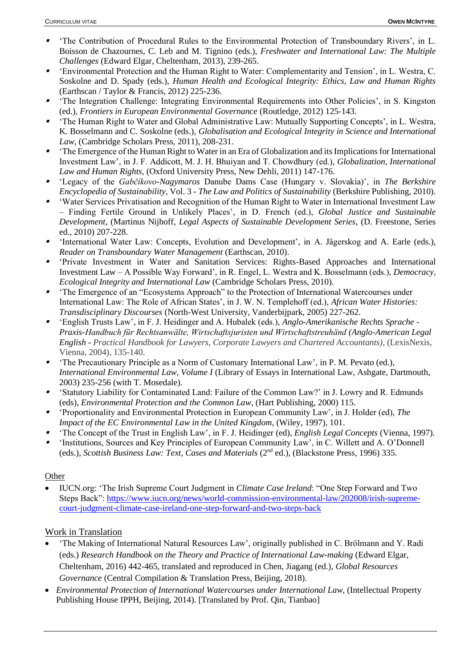- ▪ 'The Contribution of Procedural Rules to the Environmental Protection of Transboundary Rivers', in L. Boisson de Chazournes, C. Leb and M. Tignino (eds.), *Freshwater and International Law: The Multiple Challenges* (Edward Elgar, Cheltenham, 2013), 239-265.
- ▪ 'Environmental Protection and the Human Right to Water: Complementarity and Tension', in L. Westra, C. Soskolne and D. Spady (eds.), *Human Health and Ecological Integrity: Ethics, Law and Human Rights* (Earthscan / Taylor & Francis, 2012) 225-236.
- 'The Integration Challenge: Integrating Environmental Requirements into Other Policies', in S. Kingston (ed.), *Frontiers in European Environmental Governance* (Routledge, 2012) 125-143.
- ▪ 'The Human Right to Water and Global Administrative Law: Mutually Supporting Concepts', in L. Westra, K. Bosselmann and C. Soskolne (eds.), *Globalisation and Ecological Integrity in Science and International Law*, (Cambridge Scholars Press, 2011), 208-231.
- ▪ 'The Emergence of the Human Right to Water in an Era of Globalization and its Implications for International Investment Law', in J. F. Addicott, M. J. H. Bhuiyan and T. Chowdhury (ed.), *Globalization, International Law and Human Rights,* (Oxford University Press, New Dehli, 2011) 147-176.
- 'Legacy of the *Gabčíkovo-Nagymaros* Danube Dams Case (Hungary v. Slovakia)', in *The Berkshire Encyclopedia of Sustainability*, Vol. 3 - *The Law and Politics of Sustainability* (Berkshire Publishing, 2010).
- ▪ 'Water Services Privatisation and Recognition of the Human Right to Water in International Investment Law – Finding Fertile Ground in Unlikely Places', in D. French (ed.), *Global Justice and Sustainable Development*, (Martinus Nijhoff, *Legal Aspects of Sustainable Development Series*, (D. Freestone, Series ed., 2010) 207-228.
- ▪ 'International Water Law: Concepts, Evolution and Development', in A. Jägerskog and A. Earle (eds.), *Reader on Transboundary Water Management* (Earthscan, 2010).
- 'Private Investment in Water and Sanitation Services: Rights-Based Approaches and International Investment Law – A Possible Way Forward', in R. Engel, L. Westra and K. Bosselmann (eds.), *Democracy, Ecological Integrity and International Law* (Cambridge Scholars Press, 2010).
- ▪ 'The Emergence of an "Ecosystems Approach" to the Protection of International Watercourses under International Law: The Role of African States', in J. W. N. Templehoff (ed.), *African Water Histories: Transdisciplinary Discourses* (North-West University, Vanderbijpark, 2005) 227-262.
- ▪ 'English Trusts Law', in F. J. Heidinger and A. Hubalek (eds.), *Anglo-Amerikanische Rechts Sprache - Praxis-Handbuch für Rechtsanwälte, Wirtschaftsjuristen und Wirtschaftstreuhänd (Anglo-American Legal English - Practical Handbook for Lawyers, Corporate Lawyers and Chartered Accountants)*, (LexisNexis, Vienna, 2004), 135-140.
- ▪ 'The Precautionary Principle as a Norm of Customary International Law', in P. M. Pevato (ed.), *International Environmental Law, Volume I* (Library of Essays in International Law, Ashgate, Dartmouth, 2003) 235-256 (with T. Mosedale).
- 'Statutory Liability for Contaminated Land: Failure of the Common Law?' in J. Lowry and R. Edmunds (eds), *Environmental Protection and the Common Law*, (Hart Publishing, 2000) 115.
- ▪ 'Proportionality and Environmental Protection in European Community Law', in J. Holder (ed), *The Impact of the EC Environmental Law in the United Kingdom*, (Wiley, 1997), 101.
- ▪'The Concept of the Trust in English Law', in F. J. Heidinger (ed), *English Legal Concepts* (Vienna, 1997).
- ▪ 'Institutions, Sources and Key Principles of European Community Law', in C. Willett and A. O'Donnell (eds.), *Scottish Business Law: Text, Cases and Materials* (2nd ed.), (Blackstone Press, 1996) 335.

# **Other**

• IUCN.org: 'The Irish Supreme Court Judgment in *Climate Case Ireland*: "One Step Forward and Two Steps Back": [https://www.iucn.org/news/world-commission-environmental-law/202008/irish-supreme](https://www.iucn.org/news/world-commission-environmental-law/202008/irish-supreme-court-judgment-climate-case-ireland-one-step-forward-and-two-steps-back)[court-judgment-climate-case-ireland-one-step-forward-and-two-steps-back](https://www.iucn.org/news/world-commission-environmental-law/202008/irish-supreme-court-judgment-climate-case-ireland-one-step-forward-and-two-steps-back)

# Work in Translation

- 'The Making of International Natural Resources Law', originally published in C. Brölmann and Y. Radi (eds.) *Research Handbook on the Theory and Practice of International Law-making* (Edward Elgar, Cheltenham, 2016) 442-465, translated and reproduced in Chen, Jiagang (ed.), *Global Resources Governance* (Central Compilation & Translation Press, Beijing, 2018).
- *Environmental Protection of International Watercourses under International Law*, (Intellectual Property Publishing House IPPH, Beijing, 2014). [Translated by Prof. Qin, Tianbao]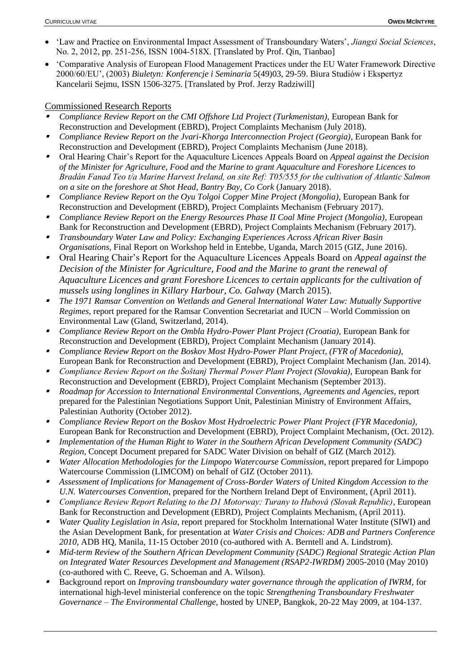- 'Law and Practice on Environmental Impact Assessment of Transboundary Waters', *Jiangxi Social Sciences*, No. 2, 2012, pp. 251-256, ISSN 1004-518X. [Translated by Prof. Qin, Tianbao]
- 'Comparative Analysis of European Flood Management Practices under the EU Water Framework Directive 2000/60/EU', (2003) *Biuletyn: Konferencje i Seminaria* 5(49)03, 29-59. Biura Studiów i Ekspertyz Kancelarii Sejmu, ISSN 1506-3275. [Translated by Prof. Jerzy Radziwill]

# Commissioned Research Reports

- ▪*Compliance Review Report on the CMI Offshore Ltd Project (Turkmenistan), European Bank for* Reconstruction and Development (EBRD), Project Complaints Mechanism (July 2018).
- ▪ *Compliance Review Report on the Jvari-Khorga Interconnection Project (Georgia)*, European Bank for Reconstruction and Development (EBRD), Project Complaints Mechanism (June 2018).
- ▪ Oral Hearing Chair's Report for the Aquaculture Licences Appeals Board on *Appeal against the Decision of the Minister for Agriculture, Food and the Marine to grant Aquaculture and Foreshore Licences to Bradán Fanad Teo t/a Marine Harvest Ireland, on site Ref: T05/555 for the cultivation of Atlantic Salmon on a site on the foreshore at Shot Head, Bantry Bay, Co Cork* (January 2018).
- ▪ *Compliance Review Report on the Oyu Tolgoi Copper Mine Project (Mongolia)*, European Bank for Reconstruction and Development (EBRD), Project Complaints Mechanism (February 2017).
- ▪ *Compliance Review Report on the Energy Resources Phase II Coal Mine Project (Mongolia)*, European Bank for Reconstruction and Development (EBRD), Project Complaints Mechanism (February 2017).
- ▪ *Transboundary Water Law and Policy: Exchanging Experiences Across African River Basin Organisations,* Final Report on Workshop held in Entebbe, Uganda, March 2015 (GIZ, June 2016).
- ▪ Oral Hearing Chair's Report for the Aquaculture Licences Appeals Board on *Appeal against the Decision of the Minister for Agriculture, Food and the Marine to grant the renewal of Aquaculture Licences and grant Foreshore Licences to certain applicants for the cultivation of mussels using longlines in Killary Harbour, Co. Galway* (March 2015).
- ▪ *The 1971 Ramsar Convention on Wetlands and General International Water Law: Mutually Supportive Regimes,* report prepared for the Ramsar Convention Secretariat and IUCN – World Commission on Environmental Law (Gland, Switzerland, 2014).
- ▪ *Compliance Review Report on the Ombla Hydro-Power Plant Project (Croatia),* European Bank for Reconstruction and Development (EBRD), Project Complaint Mechanism (January 2014).
- ▪ *Compliance Review Report on the Boskov Most Hydro-Power Plant Project, (FYR of Macedonia)*, European Bank for Reconstruction and Development (EBRD), Project Complaint Mechanism (Jan. 2014).
- ▪ *Compliance Review Report on the Šoštanj Thermal Power Plant Project (Slovakia)*, European Bank for Reconstruction and Development (EBRD), Project Complaint Mechanism (September 2013).
- ▪ *Roadmap for Accession to International Environmental Conventions, Agreements and Agencies*, report prepared for the Palestinian Negotiations Support Unit, Palestinian Ministry of Environment Affairs, Palestinian Authority (October 2012).
- ▪ *Compliance Review Report on the Boskov Most Hydroelectric Power Plant Project (FYR Macedonia),*  European Bank for Reconstruction and Development (EBRD), Project Complaint Mechanism, (Oct. 2012).
- ▪ *Implementation of the Human Right to Water in the Southern African Development Community (SADC) Region,* Concept Document prepared for SADC Water Division on behalf of GIZ (March 2012).
- ▪ *Water Allocation Methodologies for the Limpopo Watercourse Commission*, report prepared for Limpopo Watercourse Commission (LIMCOM) on behalf of GIZ (October 2011).
- ▪ *Assessment of Implications for Management of Cross-Border Waters of United Kingdom Accession to the U.N. Watercourses Convention*, prepared for the Northern Ireland Dept of Environment, (April 2011).
- ▪ *Compliance Review Report Relating to the D1 Motorway: Turany to Hubová (Slovak Republic)*, European Bank for Reconstruction and Development (EBRD), Project Complaints Mechanism, (April 2011).
- ▪ *Water Quality Legislation in Asia*, report prepared for Stockholm International Water Institute (SIWI) and the Asian Development Bank, for presentation at *Water Crisis and Choices: ADB and Partners Conference 2010*, ADB HQ, Manila, 11-15 October 2010 (co-authored with A. Berntell and A. Lindstrom).
- ▪ *Mid-term Review of the Southern African Development Community (SADC) Regional Strategic Action Plan on Integrated Water Resources Development and Management (RSAP2-IWRDM)* 2005-2010 (May 2010) (co-authored with C. Reeve, G. Schoeman and A. Wilson).
- ▪ Background report on *Improving transboundary water governance through the application of IWRM,* for international high-level ministerial conference on the topic *Strengthening Transboundary Freshwater Governance – The Environmental Challenge*, hosted by UNEP, Bangkok, 20-22 May 2009, at 104-137.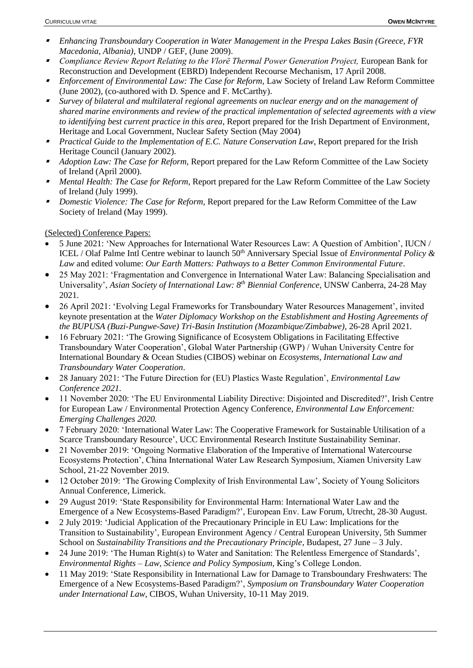- ▪ *Enhancing Transboundary Cooperation in Water Management in the Prespa Lakes Basin (Greece, FYR Macedonia, Albania),* UNDP / GEF, (June 2009).
- ▪ *Compliance Review Report Relating to the Vlorë Thermal Power Generation Project,* European Bank for Reconstruction and Development (EBRD) Independent Recourse Mechanism, 17 April 2008.
- ▪ *Enforcement of Environmental Law: The Case for Reform,* Law Society of Ireland Law Reform Committee (June 2002), (co-authored with D. Spence and F. McCarthy).
- ▪ *Survey of bilateral and multilateral regional agreements on nuclear energy and on the management of shared marine environments and review of the practical implementation of selected agreements with a view to identifying best current practice in this area*, Report prepared for the Irish Department of Environment, Heritage and Local Government, Nuclear Safety Section (May 2004)
- ▪ *Practical Guide to the Implementation of E.C. Nature Conservation Law*, Report prepared for the Irish Heritage Council (January 2002).
- ▪ *Adoption Law: The Case for Reform,* Report prepared for the Law Reform Committee of the Law Society of Ireland (April 2000).
- *Mental Health: The Case for Reform*, Report prepared for the Law Reform Committee of the Law Society of Ireland (July 1999).
- *Domestic Violence: The Case for Reform,* Report prepared for the Law Reform Committee of the Law Society of Ireland (May 1999).

### (Selected) Conference Papers:

- 5 June 2021: 'New Approaches for International Water Resources Law: A Question of Ambition', IUCN / ICEL / Olaf Palme Intl Centre webinar to launch 50th Anniversary Special Issue of *Environmental Policy & Law* and edited volume: *Our Earth Matters: Pathways to a Better Common Environmental Future*.
- 25 May 2021: 'Fragmentation and Convergence in International Water Law: Balancing Specialisation and Universality', *Asian Society of International Law: 8th Biennial Conference*, UNSW Canberra, 24-28 May 2021.
- 26 April 2021: 'Evolving Legal Frameworks for Transboundary Water Resources Management', invited keynote presentation at the *Water Diplomacy Workshop on the Establishment and Hosting Agreements of the BUPUSA (Buzi-Pungwe-Save) Tri-Basin Institution (Mozambique/Zimbabwe),* 26-28 April 2021.
- 16 February 2021: 'The Growing Significance of Ecosystem Obligations in Facilitating Effective Transboundary Water Cooperation', Global Water Partnership (GWP) / Wuhan University Centre for International Boundary & Ocean Studies (CIBOS) webinar on *Ecosystems, International Law and Transboundary Water Cooperation*.
- 28 January 2021: 'The Future Direction for (EU) Plastics Waste Regulation', *Environmental Law Conference 2021.*
- 11 November 2020: 'The EU Environmental Liability Directive: Disjointed and Discredited?', Irish Centre for European Law / Environmental Protection Agency Conference, *Environmental Law Enforcement: Emerging Challenges 2020.*
- 7 February 2020: 'International Water Law: The Cooperative Framework for Sustainable Utilisation of a Scarce Transboundary Resource', UCC Environmental Research Institute Sustainability Seminar.
- 21 November 2019: 'Ongoing Normative Elaboration of the Imperative of International Watercourse Ecosystems Protection', China International Water Law Research Symposium, Xiamen University Law School, 21-22 November 2019.
- 12 October 2019: 'The Growing Complexity of Irish Environmental Law', Society of Young Solicitors Annual Conference, Limerick.
- 29 August 2019: 'State Responsibility for Environmental Harm: International Water Law and the Emergence of a New Ecosystems-Based Paradigm?', European Env. Law Forum, Utrecht, 28-30 August.
- 2 July 2019: 'Judicial Application of the Precautionary Principle in EU Law: Implications for the Transition to Sustainability', European Environment Agency / Central European University, 5th Summer School on *Sustainability Transitions and the Precautionary Principle*, Budapest, 27 June – 3 July.
- 24 June 2019: 'The Human Right(s) to Water and Sanitation: The Relentless Emergence of Standards', *Environmental Rights – Law, Science and Policy Symposium*, King's College London.
- 11 May 2019: 'State Responsibility in International Law for Damage to Transboundary Freshwaters: The Emergence of a New Ecosystems-Based Paradigm?', *Symposium on Transboundary Water Cooperation under International Law*, CIBOS, Wuhan University, 10-11 May 2019.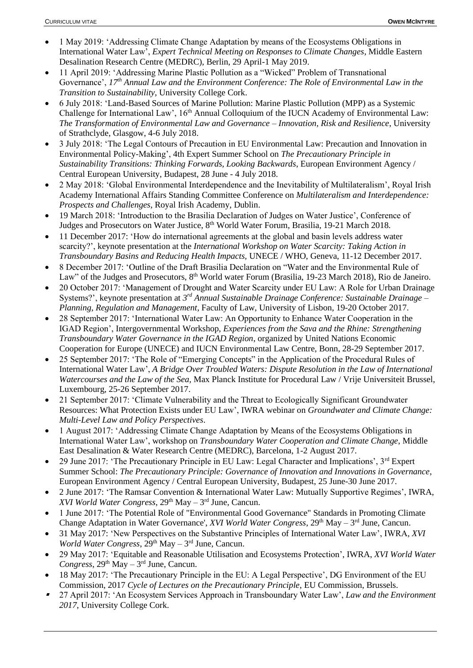- 1 May 2019: 'Addressing Climate Change Adaptation by means of the Ecosystems Obligations in International Water Law', *Expert Technical Meeting on Responses to Climate Changes*, Middle Eastern Desalination Research Centre (MEDRC), Berlin, 29 April-1 May 2019.
- 11 April 2019: 'Addressing Marine Plastic Pollution as a "Wicked" Problem of Transnational Governance', *17th Annual Law and the Environment Conference: The Role of Environmental Law in the Transition to Sustainability*, University College Cork.
- 6 July 2018: 'Land-Based Sources of Marine Pollution: Marine Plastic Pollution (MPP) as a Systemic Challenge for International Law', 16<sup>th</sup> Annual Colloquium of the IUCN Academy of Environmental Law: *The Transformation of Environmental Law and Governance – Innovation, Risk and Resilience*, University of Strathclyde, Glasgow, 4-6 July 2018.
- 3 July 2018: 'The Legal Contours of Precaution in EU Environmental Law: Precaution and Innovation in Environmental Policy-Making', 4th Expert Summer School on *The Precautionary Principle in Sustainability Transitions: Thinking Forwards, Looking Backwards*, European Environment Agency / Central European University, Budapest, 28 June - 4 July 2018.
- 2 May 2018: 'Global Environmental Interdependence and the Inevitability of Multilateralism', Royal Irish Academy International Affairs Standing Committee Conference on *Multilateralism and Interdependence: Prospects and Challenges*, Royal Irish Academy, Dublin.
- 19 March 2018: 'Introduction to the Brasilia Declaration of Judges on Water Justice', Conference of Judges and Prosecutors on Water Justice, 8<sup>th</sup> World Water Forum, Brasilia, 19-21 March 2018.
- 11 December 2017: 'How do international agreements at the global and basin levels address water scarcity?', keynote presentation at the *International Workshop on Water Scarcity: Taking Action in Transboundary Basins and Reducing Health Impacts,* UNECE / WHO, Geneva, 11-12 December 2017.
- 8 December 2017: 'Outline of the Draft Brasilia Declaration on "Water and the Environmental Rule of Law" of the Judges and Prosecutors, 8<sup>th</sup> World water Forum (Brasilia, 19-23 March 2018), Rio de Janeiro.
- 20 October 2017: 'Management of Drought and Water Scarcity under EU Law: A Role for Urban Drainage Systems?', keynote presentation at *3 rd Annual Sustainable Drainage Conference: Sustainable Drainage – Planning, Regulation and Management*, Faculty of Law, University of Lisbon, 19-20 October 2017.
- 28 September 2017: 'International Water Law: An Opportunity to Enhance Water Cooperation in the IGAD Region', Intergovernmental Workshop, *Experiences from the Sava and the Rhine: Strengthening Transboundary Water Governance in the IGAD Region*, organized by United Nations Economic Cooperation for Europe (UNECE) and IUCN Environmental Law Centre, Bonn, 28-29 September 2017.
- 25 September 2017: 'The Role of "Emerging Concepts" in the Application of the Procedural Rules of International Water Law', *A Bridge Over Troubled Waters: Dispute Resolution in the Law of International Watercourses and the Law of the Sea,* Max Planck Institute for Procedural Law / Vrije Universiteit Brussel, Luxembourg, 25-26 September 2017.
- 21 September 2017: 'Climate Vulnerability and the Threat to Ecologically Significant Groundwater Resources: What Protection Exists under EU Law', IWRA webinar on *Groundwater and Climate Change: Multi-Level Law and Policy Perspectives*.
- 1 August 2017: 'Addressing Climate Change Adaptation by Means of the Ecosystems Obligations in International Water Law', workshop on *Transboundary Water Cooperation and Climate Change*, Middle East Desalination & Water Research Centre (MEDRC), Barcelona, 1-2 August 2017.
- 29 June 2017: 'The Precautionary Principle in EU Law: Legal Character and Implications', 3rd Expert Summer School: *The Precautionary Principle: Governance of Innovation and Innovations in Governance*, European Environment Agency / Central European University, Budapest, 25 June-30 June 2017.
- 2 June 2017: 'The Ramsar Convention & International Water Law: Mutually Supportive Regimes', IWRA, XVI World Water Congress, 29<sup>th</sup> May – 3<sup>rd</sup> June, Cancun.
- 1 June 2017: 'The Potential Role of "Environmental Good Governance" Standards in Promoting Climate Change Adaptation in Water Governance', *XVI World Water Congress*, 29<sup>th</sup> May – 3<sup>rd</sup> June, Cancun.
- 31 May 2017: 'New Perspectives on the Substantive Principles of International Water Law', IWRA, *XVI World Water Congress*,  $29<sup>th</sup>$  May  $-3<sup>rd</sup>$  June, Cancun.
- 29 May 2017: 'Equitable and Reasonable Utilisation and Ecosystems Protection', IWRA, *XVI World Water Congress*,  $29<sup>th</sup>$  May  $-3<sup>rd</sup>$  June, Cancun.
- 18 May 2017: 'The Precautionary Principle in the EU: A Legal Perspective', DG Environment of the EU Commission, 2017 *Cycle of Lectures on the Precautionary Principle*, EU Commission, Brussels.
- ▪ 27 April 2017: 'An Ecosystem Services Approach in Transboundary Water Law', *Law and the Environment 2017*, University College Cork.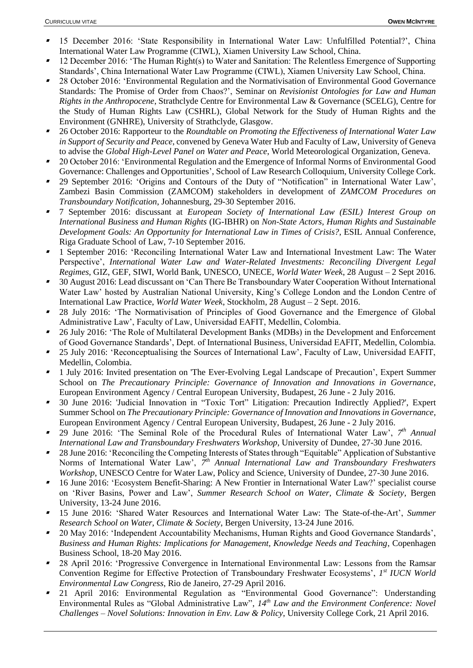- ▪ 15 December 2016: 'State Responsibility in International Water Law: Unfulfilled Potential?', China International Water Law Programme (CIWL), Xiamen University Law School, China.
- ▪ 12 December 2016: 'The Human Right(s) to Water and Sanitation: The Relentless Emergence of Supporting Standards', China International Water Law Programme (CIWL), Xiamen University Law School, China.
- ▪ 28 October 2016: 'Environmental Regulation and the Normativisation of Environmental Good Governance Standards: The Promise of Order from Chaos?', Seminar on *Revisionist Ontologies for Law and Human Rights in the Anthropocene*, Strathclyde Centre for Environmental Law & Governance (SCELG), Centre for the Study of Human Rights Law (CSHRL), Global Network for the Study of Human Rights and the Environment (GNHRE), University of Strathclyde, Glasgow.
- ▪ 26 October 2016: Rapporteur to the *Roundtable on Promoting the Effectiveness of International Water Law in Support of Security and Peace*, convened by Geneva Water Hub and Faculty of Law, University of Geneva to advise the *Global High-Level Panel on Water and Peace*, World Meteorological Organization, Geneva.
- ▪ 20 October 2016: 'Environmental Regulation and the Emergence of Informal Norms of Environmental Good Governance: Challenges and Opportunities', School of Law Research Colloquium, University College Cork.
- ▪ 29 September 2016: 'Origins and Contours of the Duty of "Notification" in International Water Law', Zambezi Basin Commission (ZAMCOM) stakeholders in development of *ZAMCOM Procedures on Transboundary Notification*, Johannesburg, 29-30 September 2016.
- ▪ 7 September 2016: discussant at *European Society of International Law (ESIL) Interest Group on International Business and Human Rights* (IG-IBHR) on *Non-State Actors, Human Rights and Sustainable Development Goals: An Opportunity for International Law in Times of Crisis?*, ESIL Annual Conference, Riga Graduate School of Law, 7-10 September 2016.
- ▪ 1 September 2016: 'Reconciling International Water Law and International Investment Law: The Water Perspective', *International Water Law and Water-Related Investments: Reconciling Divergent Legal Regimes*, GIZ, GEF, SIWI, World Bank, UNESCO, UNECE, *World Water Week*, 28 August – 2 Sept 2016.
- ▪ 30 August 2016: Lead discussant on 'Can There Be Transboundary Water Cooperation Without International Water Law' hosted by Australian National University, King's College London and the London Centre of International Law Practice, *World Water Week*, Stockholm, 28 August – 2 Sept. 2016.
- ▪ 28 July 2016: 'The Normativisation of Principles of Good Governance and the Emergence of Global Administrative Law', Faculty of Law, Universidad EAFIT, Medellin, Colombia.
- ▪ 26 July 2016: 'The Role of Multilateral Development Banks (MDBs) in the Development and Enforcement of Good Governance Standards', Dept. of International Business, Universidad EAFIT, Medellin, Colombia.
- ▪ 25 July 2016: 'Reconceptualising the Sources of International Law', Faculty of Law, Universidad EAFIT, Medellin, Colombia.
- ▪ 1 July 2016: Invited presentation on 'The Ever-Evolving Legal Landscape of Precaution', Expert Summer School on *The Precautionary Principle: Governance of Innovation and Innovations in Governance*, European Environment Agency / Central European University, Budapest, 26 June - 2 July 2016.
- ▪ 30 June 2016: 'Judicial Innovation in "Toxic Tort" Litigation: Precaution Indirectly Applied?', Expert Summer School on *The Precautionary Principle: Governance of Innovation and Innovations in Governance*, European Environment Agency / Central European University, Budapest, 26 June - 2 July 2016.
- ▪<sup>7</sup> 29 June 2016: 'The Seminal Role of the Procedural Rules of International Water Law', 7<sup>th</sup> Annual *International Law and Transboundary Freshwaters Workshop*, University of Dundee, 27-30 June 2016.
- ▪ 28 June 2016: 'Reconciling the Competing Interests of States through "Equitable" Application of Substantive Norms of International Water Law', *7 th Annual International Law and Transboundary Freshwaters Workshop*, UNESCO Centre for Water Law, Policy and Science, University of Dundee, 27-30 June 2016.
- ▪ 16 June 2016: 'Ecosystem Benefit-Sharing: A New Frontier in International Water Law?' specialist course on 'River Basins, Power and Law', *Summer Research School on Water, Climate & Society*, Bergen University, 13-24 June 2016.
- 15 June 2016: 'Shared Water Resources and International Water Law: The State-of-the-Art', *Summer Research School on Water, Climate & Society*, Bergen University, 13-24 June 2016.
- ▪ 20 May 2016: 'Independent Accountability Mechanisms, Human Rights and Good Governance Standards', *Business and Human Rights: Implications for Management, Knowledge Needs and Teaching*, Copenhagen Business School, 18-20 May 2016.
- ▪ 28 April 2016: 'Progressive Convergence in International Environmental Law: Lessons from the Ramsar Convention Regime for Effective Protection of Transboundary Freshwater Ecosystems', *1 st IUCN World Environmental Law Congress*, Rio de Janeiro, 27-29 April 2016.
- ▪ 21 April 2016: Environmental Regulation as "Environmental Good Governance": Understanding Environmental Rules as "Global Administrative Law", *14th Law and the Environment Conference: Novel Challenges – Novel Solutions: Innovation in Env. Law & Policy*, University College Cork, 21 April 2016.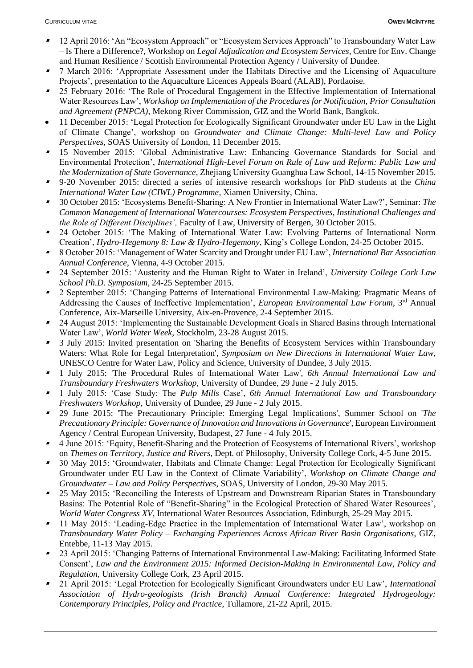- ▪ 12 April 2016: 'An "Ecosystem Approach" or "Ecosystem Services Approach" to Transboundary Water Law – Is There a Difference?, Workshop on *Legal Adjudication and Ecosystem Services*, Centre for Env. Change and Human Resilience / Scottish Environmental Protection Agency / University of Dundee.
- ▪ 7 March 2016: 'Appropriate Assessment under the Habitats Directive and the Licensing of Aquaculture Projects', presentation to the Aquaculture Licences Appeals Board (ALAB), Portlaoise.
- ▪ 25 February 2016: 'The Role of Procedural Engagement in the Effective Implementation of International Water Resources Law', *Workshop on Implementation of the Procedures for Notification, Prior Consultation and Agreement (PNPCA)*, Mekong River Commission, GIZ and the World Bank, Bangkok.
- 11 December 2015: 'Legal Protection for Ecologically Significant Groundwater under EU Law in the Light of Climate Change', workshop on *Groundwater and Climate Change: Multi-level Law and Policy Perspectives*, SOAS University of London, 11 December 2015.
- ▪ 15 November 2015: 'Global Administrative Law: Enhancing Governance Standards for Social and Environmental Protection', *International High-Level Forum on Rule of Law and Reform: Public Law and the Modernization of State Governance*, Zhejiang University Guanghua Law School, 14-15 November 2015.
- 9-20 November 2015: directed a series of intensive research workshops for PhD students at the *China International Water Law (CIWL) Programme*, Xiamen University, China.
- ▪ 30 October 2015: 'Ecosystems Benefit-Sharing: A New Frontier in International Water Law?', Seminar: *The Common Management of International Watercourses: Ecosystem Perspectives, Institutional Challenges and the Role of Different Disciplines',* Faculty of Law, University of Bergen, 30 October 2015.
- ▪ 24 October 2015: 'The Making of International Water Law: Evolving Patterns of International Norm Creation', *Hydro-Hegemony 8: Law & Hydro-Hegemony*, King's College London, 24-25 October 2015.
- ▪ 8 October 2015: 'Management of Water Scarcity and Drought under EU Law', *International Bar Association Annual Conference*, Vienna, 4-9 October 2015.
- ▪ 24 September 2015: 'Austerity and the Human Right to Water in Ireland', *University College Cork Law School Ph.D. Symposium*, 24-25 September 2015.
- ▪ 2 September 2015: 'Changing Patterns of International Environmental Law-Making: Pragmatic Means of Addressing the Causes of Ineffective Implementation', *European Environmental Law Forum*, 3rd Annual Conference, Aix-Marseille University, Aix-en-Provence, 2-4 September 2015.
- ▪ 24 August 2015: 'Implementing the Sustainable Development Goals in Shared Basins through International Water Law', *World Water Week*, Stockholm, 23-28 August 2015.
- ▪ 3 July 2015: Invited presentation on 'Sharing the Benefits of Ecosystem Services within Transboundary Waters: What Role for Legal Interpretation', *Symposium on New Directions in International Water Law*, UNESCO Centre for Water Law, Policy and Science, University of Dundee, 3 July 2015.
- ▪ 1 July 2015: 'The Procedural Rules of International Water Law', *6th Annual International Law and Transboundary Freshwaters Workshop*, University of Dundee, 29 June - 2 July 2015.
- ▪ 1 July 2015: 'Case Study: The *Pulp Mills* Case', *6th Annual International Law and Transboundary Freshwaters Workshop*, University of Dundee, 29 June - 2 July 2015.
- ▪ 29 June 2015: 'The Precautionary Principle: Emerging Legal Implications', Summer School on '*The Precautionary Principle: Governance of Innovation and Innovations in Governance*', European Environment Agency / Central European University, Budapest, 27 June - 4 July 2015.
- ▪ 4 June 2015: 'Equity, Benefit-Sharing and the Protection of Ecosystems of International Rivers', workshop on *Themes on Territory, Justice and Rivers*, Dept. of Philosophy, University College Cork, 4-5 June 2015.
- ▪ 30 May 2015: 'Groundwater, Habitats and Climate Change: Legal Protection for Ecologically Significant Groundwater under EU Law in the Context of Climate Variability', *Workshop on Climate Change and Groundwater – Law and Policy Perspectives*, SOAS, University of London, 29-30 May 2015.
- ▪ 25 May 2015: 'Reconciling the Interests of Upstream and Downstream Riparian States in Transboundary Basins: The Potential Role of "Benefit-Sharing" in the Ecological Protection of Shared Water Resources', *World Water Congress XV,* International Water Resources Association, Edinburgh, 25-29 May 2015.
- ▪ 11 May 2015: 'Leading-Edge Practice in the Implementation of International Water Law', workshop on *Transboundary Water Policy – Exchanging Experiences Across African River Basin Organisations*, GIZ, Entebbe, 11-13 May 2015.
- ▪ 23 April 2015: 'Changing Patterns of International Environmental Law-Making: Facilitating Informed State Consent', *Law and the Environment 2015: Informed Decision-Making in Environmental Law, Policy and Regulation*, University College Cork, 23 April 2015.
- ▪ 21 April 2015: 'Legal Protection for Ecologically Significant Groundwaters under EU Law', *International Association of Hydro-geologists (Irish Branch) Annual Conference: Integrated Hydrogeology: Contemporary Principles, Policy and Practice*, Tullamore, 21-22 April, 2015.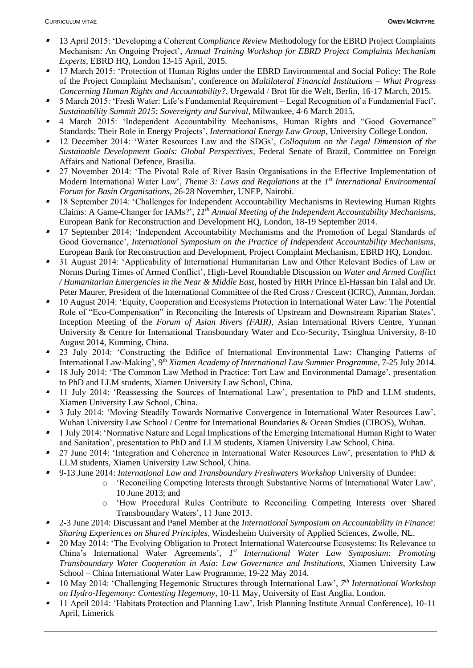- ▪ 13 April 2015: 'Developing a Coherent *Compliance Review* Methodology for the EBRD Project Complaints Mechanism: An Ongoing Project', *Annual Training Workshop for EBRD Project Complaints Mechanism Experts*, EBRD HQ, London 13-15 April, 2015.
- ▪ 17 March 2015: 'Protection of Human Rights under the EBRD Environmental and Social Policy: The Role of the Project Complaint Mechanism', conference on *Multilateral Financial Institutions – What Progress Concerning Human Rights and Accountability?*, Urgewald / Brot für die Welt, Berlin, 16-17 March, 2015.
- ▪ 5 March 2015: 'Fresh Water: Life's Fundamental Requirement – Legal Recognition of a Fundamental Fact', *Sustainability Summit 2015: Sovereignty and Survival*, Milwaukee, 4-6 March 2015.
- ▪ 4 March 2015: 'Independent Accountability Mechanisms, Human Rights and "Good Governance" Standards: Their Role in Energy Projects', *International Energy Law Group*, University College London.
- ▪ 12 December 2014: 'Water Resources Law and the SDGs', *Colloquium on the Legal Dimension of the Sustainable Development Goals: Global Perspectives*, Federal Senate of Brazil, Committee on Foreign Affairs and National Defence, Brasilia.
- 27 November 2014: 'The Pivotal Role of River Basin Organisations in the Effective Implementation of Modern International Water Law', *Theme 3: Laws and Regulations* at the 1<sup>st</sup> International Environmental *Forum for Basin Organisations*, 26-28 November, UNEP, Nairobi.
- ▪ 18 September 2014: 'Challenges for Independent Accountability Mechanisms in Reviewing Human Rights Claims: A Game-Changer for IAMs?', *11th Annual Meeting of the Independent Accountability Mechanisms*, European Bank for Reconstruction and Development HQ, London, 18-19 September 2014.
- ▪ 17 September 2014: 'Independent Accountability Mechanisms and the Promotion of Legal Standards of Good Governance', *International Symposium on the Practice of Independent Accountability Mechanisms*, European Bank for Reconstruction and Development, Project Complaint Mechanism, EBRD HQ, London.
- ▪ 31 August 2014: 'Applicability of International Humanitarian Law and Other Relevant Bodies of Law or Norms During Times of Armed Conflict', High-Level Roundtable Discussion on *Water and Armed Conflict / Humanitarian Emergencies in the Near & Middle East*, hosted by HRH Prince El-Hassan bin Talal and Dr. Peter Maurer, President of the International Committee of the Red Cross / Crescent (ICRC), Amman, Jordan.
- ▪ 10 August 2014: 'Equity, Cooperation and Ecosystems Protection in International Water Law: The Potential Role of "Eco-Compensation" in Reconciling the Interests of Upstream and Downstream Riparian States', Inception Meeting of the *Forum of Asian Rivers (FAIR)*, Asian International Rivers Centre, Yunnan University & Centre for International Transboundary Water and Eco-Security, Tsinghua University, 8-10 August 2014, Kunming, China.
- 23 July 2014: 'Constructing the Edifice of International Environmental Law: Changing Patterns of International Law-Making', 9<sup>th</sup> *Xiamen Academy of International Law Summer Programme, 7-25 July 2014.*
- ▪ 18 July 2014: 'The Common Law Method in Practice: Tort Law and Environmental Damage', presentation to PhD and LLM students, Xiamen University Law School, China.
- ▪ 11 July 2014: 'Reassessing the Sources of International Law', presentation to PhD and LLM students, Xiamen University Law School, China.
- 3 July 2014: 'Moving Steadily Towards Normative Convergence in International Water Resources Law', Wuhan University Law School / Centre for International Boundaries & Ocean Studies (CIBOS), Wuhan.
- ▪ 1 July 2014: 'Normative Nature and Legal Implications of the Emerging International Human Right to Water and Sanitation', presentation to PhD and LLM students, Xiamen University Law School, China.
- ▪ 27 June 2014: 'Integration and Coherence in International Water Resources Law', presentation to PhD & LLM students, Xiamen University Law School, China.
- 9-13 June 2014: *International Law and Transboundary Freshwaters Workshop* University of Dundee:
	- o 'Reconciling Competing Interests through Substantive Norms of International Water Law', 10 June 2013; and
		- o 'How Procedural Rules Contribute to Reconciling Competing Interests over Shared Transboundary Waters', 11 June 2013.
- ▪ 2-3 June 2014: Discussant and Panel Member at the *International Symposium on Accountability in Finance: Sharing Experiences on Shared Principles*, Windesheim University of Applied Sciences, Zwolle, NL.
- ▪ 20 May 2014: 'The Evolving Obligation to Protect International Watercourse Ecosystems: Its Relevance to China's International Water Agreements', 1<sup>st</sup> International Water Law Symposium: Promoting *Transboundary Water Cooperation in Asia: Law Governance and Institutions*, Xiamen University Law School – China International Water Law Programme, 19-22 May 2014.
- ▪<sup>1</sup> 10 May 2014: 'Challenging Hegemonic Structures through International Law',  $7<sup>th</sup> International Workshop$ *on Hydro-Hegemony: Contesting Hegemony*, 10-11 May, University of East Anglia, London.
- ▪ 11 April 2014: 'Habitats Protection and Planning Law', Irish Planning Institute Annual Conference), 10-11 April, Limerick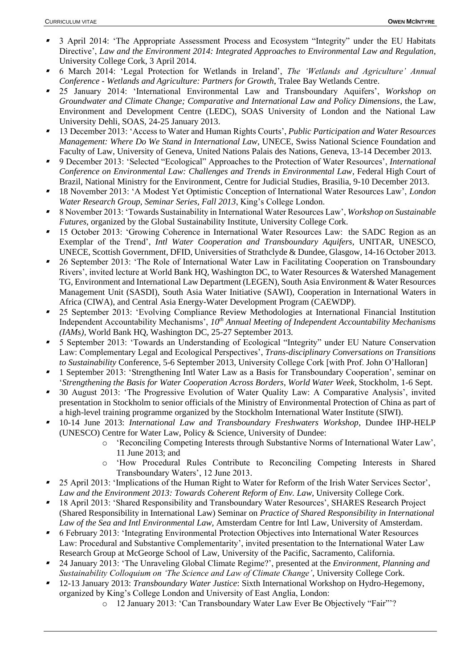- ▪ 3 April 2014: 'The Appropriate Assessment Process and Ecosystem "Integrity" under the EU Habitats Directive', *Law and the Environment 2014: Integrated Approaches to Environmental Law and Regulation*, University College Cork, 3 April 2014.
- ▪ 6 March 2014: 'Legal Protection for Wetlands in Ireland', *The 'Wetlands and Agriculture' Annual Conference - Wetlands and Agriculture: Partners for Growth*, Tralee Bay Wetlands Centre.
- ▪ 25 January 2014: 'International Environmental Law and Transboundary Aquifers', *Workshop on Groundwater and Climate Change; Comparative and International Law and Policy Dimensions*, the Law, Environment and Development Centre (LEDC), SOAS University of London and the National Law University Dehli, SOAS, 24-25 January 2013.
- ▪ 13 December 2013: 'Access to Water and Human Rights Courts', *Public Participation and Water Resources Management: Where Do We Stand in International Law*, UNECE, Swiss National Science Foundation and Faculty of Law, University of Geneva, United Nations Palais des Nations, Geneva, 13-14 December 2013.
- ▪ 9 December 2013: 'Selected "Ecological" Approaches to the Protection of Water Resources', *International Conference on Environmental Law: Challenges and Trends in Environmental Law*, Federal High Court of Brazil, National Ministry for the Environment, Centre for Judicial Studies, Brasilia, 9-10 December 2013.
- ▪ 18 November 2013: 'A Modest Yet Optimistic Conception of International Water Resources Law', *London Water Research Group, Seminar Series, Fall 2013*, King's College London.
- ▪ 8 November 2013: 'Towards Sustainability in International Water Resources Law', *Workshop on Sustainable Futures*, organized by the Global Sustainability Institute, University College Cork.
- ▪ 15 October 2013: 'Growing Coherence in International Water Resources Law: the SADC Region as an Exemplar of the Trend', *Intl Water Cooperation and Transboundary Aquifers,* UNITAR, UNESCO, UNECE, Scottish Government, DFID, Universities of Strathclyde & Dundee, Glasgow, 14-16 October 2013.
- ▪ 26 September 2013: 'The Role of International Water Law in Facilitating Cooperation on Transboundary Rivers', invited lecture at World Bank HQ, Washington DC, to Water Resources & Watershed Management TG, Environment and International Law Department (LEGEN), South Asia Environment & Water Resources Management Unit (SASDI), South Asia Water Initiative (SAWI), Cooperation in International Waters in Africa (CIWA), and Central Asia Energy-Water Development Program (CAEWDP).
- ▪ 25 September 2013: 'Evolving Compliance Review Methodologies at International Financial Institution Independent Accountability Mechanisms', *10th Annual Meeting of Independent Accountability Mechanisms (IAMs),* World Bank HQ, Washington DC, 25-27 September 2013.
- ▪ 5 September 2013: 'Towards an Understanding of Ecological "Integrity" under EU Nature Conservation Law: Complementary Legal and Ecological Perspectives', *Trans-disciplinary Conversations on Transitions to Sustainability* Conference, 5-6 September 2013, University College Cork [with Prof. John O'Halloran]
- ▪ 1 September 2013: 'Strengthening Intl Water Law as a Basis for Transboundary Cooperation', seminar on '*Strengthening the Basis for Water Cooperation Across Borders*, *World Water Week*, Stockholm, 1-6 Sept.
- ▪ 30 August 2013: 'The Progressive Evolution of Water Quality Law: A Comparative Analysis', invited presentation in Stockholm to senior officials of the Ministry of Environmental Protection of China as part of a high-level training programme organized by the Stockholm International Water Institute (SIWI).
- ▪ 10-14 June 2013: *International Law and Transboundary Freshwaters Workshop*, Dundee IHP-HELP (UNESCO) Centre for Water Law, Policy & Science, University of Dundee:
	- o 'Reconciling Competing Interests through Substantive Norms of International Water Law', 11 June 2013; and
	- o 'How Procedural Rules Contribute to Reconciling Competing Interests in Shared Transboundary Waters', 12 June 2013.
- ▪ 25 April 2013: 'Implications of the Human Right to Water for Reform of the Irish Water Services Sector', *Law and the Environment 2013: Towards Coherent Reform of Env. Law*, University College Cork.
- 18 April 2013: 'Shared Responsibility and Transboundary Water Resources', SHARES Research Project (Shared Responsibility in International Law) Seminar on *Practice of Shared Responsibility in International Law of the Sea and Intl Environmental Law,* Amsterdam Centre for Intl Law, University of Amsterdam.
- ▪ 6 February 2013: 'Integrating Environmental Protection Objectives into International Water Resources Law: Procedural and Substantive Complementarity', invited presentation to the International Water Law Research Group at McGeorge School of Law, University of the Pacific, Sacramento, California.
- ▪ 24 January 2013: 'The Unraveling Global Climate Regime?', presented at the *Environment, Planning and Sustainability Colloquium on 'The Science and Law of Climate Change'*, University College Cork.
- ▪ 12-13 January 2013: *Transboundary Water Justice*: Sixth International Workshop on Hydro-Hegemony, organized by King's College London and University of East Anglia, London:
	- o 12 January 2013: 'Can Transboundary Water Law Ever Be Objectively "Fair"'?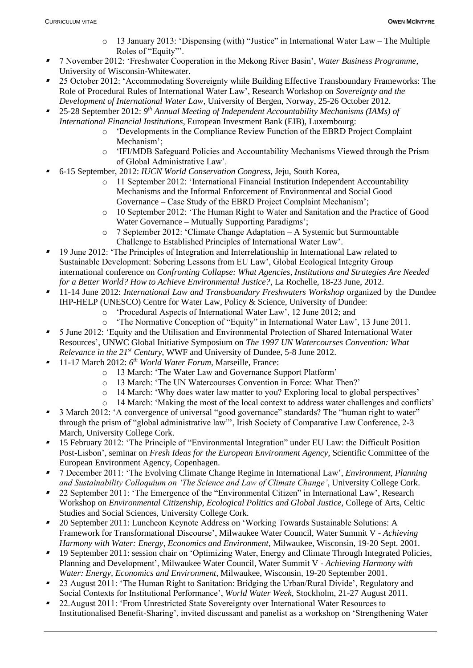- $\circ$  13 January 2013: 'Dispensing (with) "Justice" in International Water Law The Multiple Roles of "Equity"'.
- ▪ 7 November 2012: 'Freshwater Cooperation in the Mekong River Basin', *Water Business Programme*, University of Wisconsin-Whitewater.
- ▪ 25 October 2012: 'Accommodating Sovereignty while Building Effective Transboundary Frameworks: The Role of Procedural Rules of International Water Law', Research Workshop on *Sovereignty and the Development of International Water Law*, University of Bergen, Norway, 25-26 October 2012.
- ▪<sup>1</sup> 25-28 September 2012: 9<sup>th</sup> Annual Meeting of Independent Accountability Mechanisms (IAMs) of *International Financial Institutions*, European Investment Bank (EIB), Luxembourg:
	- o 'Developments in the Compliance Review Function of the EBRD Project Complaint Mechanism';
	- o 'IFI/MDB Safeguard Policies and Accountability Mechanisms Viewed through the Prism of Global Administrative Law'.
- ▪ 6-15 September, 2012: *IUCN World Conservation Congress*, Jeju, South Korea,
	- o 11 September 2012: 'International Financial Institution Independent Accountability Mechanisms and the Informal Enforcement of Environmental and Social Good Governance – Case Study of the EBRD Project Complaint Mechanism';
	- o 10 September 2012: 'The Human Right to Water and Sanitation and the Practice of Good Water Governance – Mutually Supporting Paradigms';
	- o 7 September 2012: 'Climate Change Adaptation A Systemic but Surmountable Challenge to Established Principles of International Water Law'.
- ▪ 19 June 2012: 'The Principles of Integration and Interrelationship in International Law related to Sustainable Development: Sobering Lessons from EU Law', Global Ecological Integrity Group international conference on *Confronting Collapse: What Agencies, Institutions and Strategies Are Needed for a Better World? How to Achieve Environmental Justice?*, La Rochelle, 18-23 June, 2012.
- ▪ 11-14 June 2012: *International Law and Transboundary Freshwaters Workshop* organized by the Dundee IHP-HELP (UNESCO) Centre for Water Law, Policy & Science, University of Dundee:
	- o 'Procedural Aspects of International Water Law', 12 June 2012; and
	- 'The Normative Conception of "Equity" in International Water Law', 13 June 2011.
- ▪ 5 June 2012: 'Equity and the Utilisation and Environmental Protection of Shared International Water Resources', UNWC Global Initiative Symposium on *The 1997 UN Watercourses Convention: What Relevance in the 21st Century*, WWF and University of Dundee, 5-8 June 2012.
- ▪ 11-17 March 2012: *6 th World Water Forum*, Marseille, France:
	- o 13 March: 'The Water Law and Governance Support Platform'
	- o 13 March: 'The UN Watercourses Convention in Force: What Then?'
	- o 14 March: 'Why does water law matter to you? Exploring local to global perspectives'
	- o 14 March: 'Making the most of the local context to address water challenges and conflicts'
- 3 March 2012: 'A convergence of universal "good governance" standards? The "human right to water" through the prism of "global administrative law"', Irish Society of Comparative Law Conference, 2-3 March, University College Cork.
- ▪ 15 February 2012: 'The Principle of "Environmental Integration" under EU Law: the Difficult Position Post-Lisbon', seminar on *Fresh Ideas for the European Environment Agency*, Scientific Committee of the European Environment Agency, Copenhagen.
- ▪ 7 December 2011: 'The Evolving Climate Change Regime in International Law', *Environment, Planning and Sustainability Colloquium on 'The Science and Law of Climate Change'*, University College Cork.
- ▪ 22 September 2011: 'The Emergence of the "Environmental Citizen" in International Law', Research Workshop on *Environmental Citizenship, Ecological Politics and Global Justice*, College of Arts, Celtic Studies and Social Sciences, University College Cork.
- ▪ 20 September 2011: Luncheon Keynote Address on 'Working Towards Sustainable Solutions: A Framework for Transformational Discourse', Milwaukee Water Council, Water Summit V - *Achieving Harmony with Water: Energy, Economics and Environment*, Milwaukee, Wisconsin, 19-20 Sept. 2001.
- ▪ 19 September 2011: session chair on 'Optimizing Water, Energy and Climate Through Integrated Policies, Planning and Development', Milwaukee Water Council, Water Summit V - *Achieving Harmony with Water: Energy, Economics and Environment*, Milwaukee, Wisconsin, 19-20 September 2001.
- 23 August 2011: 'The Human Right to Sanitation: Bridging the Urban/Rural Divide', Regulatory and Social Contexts for Institutional Performance', *World Water Week,* Stockholm, 21-27 August 2011.
- ▪ 22.August 2011: 'From Unrestricted State Sovereignty over International Water Resources to Institutionalised Benefit-Sharing', invited discussant and panelist as a workshop on 'Strengthening Water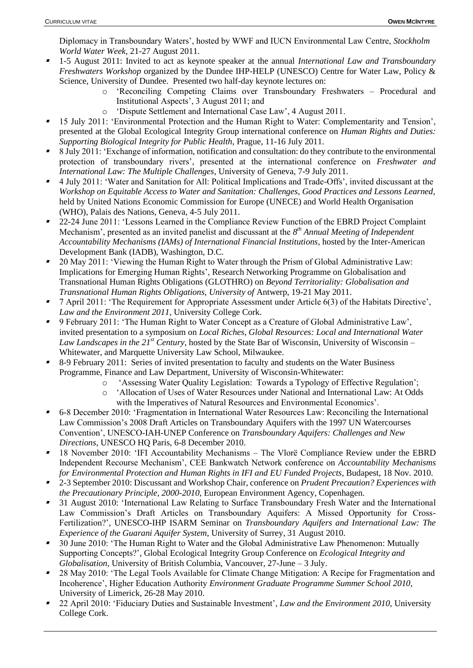Diplomacy in Transboundary Waters', hosted by WWF and IUCN Environmental Law Centre, *Stockholm World Water Week,* 21-27 August 2011.

- ▪ 1-5 August 2011: Invited to act as keynote speaker at the annual *International Law and Transboundary Freshwaters Workshop* organized by the Dundee IHP-HELP (UNESCO) Centre for Water Law, Policy & Science, University of Dundee. Presented two half-day keynote lectures on:
	- o 'Reconciling Competing Claims over Transboundary Freshwaters Procedural and Institutional Aspects', 3 August 2011; and
	- o 'Dispute Settlement and International Case Law', 4 August 2011.
- ▪ 15 July 2011: 'Environmental Protection and the Human Right to Water: Complementarity and Tension', presented at the Global Ecological Integrity Group international conference on *Human Rights and Duties: Supporting Biological Integrity for Public Health*, Prague, 11-16 July 2011.
- ▪ 8 July 2011: 'Exchange of information, notification and consultation: do they contribute to the environmental protection of transboundary rivers', presented at the international conference on *Freshwater and International Law: The Multiple Challenges*, University of Geneva, 7-9 July 2011.
- 4 July 2011: 'Water and Sanitation for All: Political Implications and Trade-Offs', invited discussant at the *Workshop on Equitable Access to Water and Sanitation: Challenges, Good Practices and Lessons Learned,*  held by United Nations Economic Commission for Europe (UNECE) and World Health Organisation (WHO), Palais des Nations, Geneva, 4-5 July 2011.
- ▪ 22-24 June 2011: 'Lessons Learned in the Compliance Review Function of the EBRD Project Complaint Mechanism', presented as an invited panelist and discussant at the *8 th Annual Meeting of Independent Accountability Mechanisms (IAMs) of International Financial Institutions*, hosted by the Inter-American Development Bank (IADB), Washington, D.C.
- ▪ 20 May 2011: 'Viewing the Human Right to Water through the Prism of Global Administrative Law: Implications for Emerging Human Rights', Research Networking Programme on Globalisation and Transnational Human Rights Obligations (GLOTHRO) on *Beyond Territoriality: Globalisation and Transnational Human Rights Obligations, University of* Antwerp, 19-21 May 2011.
- ▪ 7 April 2011: 'The Requirement for Appropriate Assessment under Article 6(3) of the Habitats Directive', *Law and the Environment 2011*, University College Cork.
- ▪ 9 February 2011: 'The Human Right to Water Concept as a Creature of Global Administrative Law', invited presentation to a symposium on *Local Riches, Global Resources: Local and International Water Law Landscapes in the 21st Century*, hosted by the State Bar of Wisconsin, University of Wisconsin – Whitewater, and Marquette University Law School, Milwaukee.
- ▪ 8-9 February 2011: Series of invited presentation to faculty and students on the Water Business Programme, Finance and Law Department, University of Wisconsin-Whitewater:
	- o 'Assessing Water Quality Legislation: Towards a Typology of Effective Regulation';
	- o 'Allocation of Uses of Water Resources under National and International Law: At Odds with the Imperatives of Natural Resources and Environmental Economics'.
- 6-8 December 2010: 'Fragmentation in International Water Resources Law: Reconciling the International Law Commission's 2008 Draft Articles on Transboundary Aquifers with the 1997 UN Watercourses Convention', UNESCO-IAH-UNEP Conference on *Transboundary Aquifers: Challenges and New Directions*, UNESCO HQ Paris, 6-8 December 2010.
- ▪ 18 November 2010: 'IFI Accountability Mechanisms – The Vlorë Compliance Review under the EBRD Independent Recourse Mechanism', CEE Bankwatch Network conference on *Accountability Mechanisms for Environmental Protection and Human Rights in IFI and EU Funded Projects*, Budapest, 18 Nov. 2010.
- 2-3 September 2010: Discussant and Workshop Chair, conference on *Prudent Precaution? Experiences with the Precautionary Principle, 2000-2010*, European Environment Agency, Copenhagen.
- ▪ 31 August 2010: 'International Law Relating to Surface Transboundary Fresh Water and the International Law Commission's Draft Articles on Transboundary Aquifers: A Missed Opportunity for Cross-Fertilization?', UNESCO-IHP ISARM Seminar on *Transboundary Aquifers and International Law: The Experience of the Guarani Aquifer System,* University of Surrey, 31 August 2010.
- ▪ 30 June 2010: 'The Human Right to Water and the Global Administrative Law Phenomenon: Mutually Supporting Concepts?', Global Ecological Integrity Group Conference on *Ecological Integrity and Globalisation,* University of British Columbia, Vancouver, 27-June – 3 July.
- ▪ 28 May 2010: 'The Legal Tools Available for Climate Change Mitigation: A Recipe for Fragmentation and Incoherence', Higher Education Authority *Environment Graduate Programme Summer School 2010*, University of Limerick, 26-28 May 2010.
- ▪ 22 April 2010: 'Fiduciary Duties and Sustainable Investment', *Law and the Environment 2010*, University College Cork.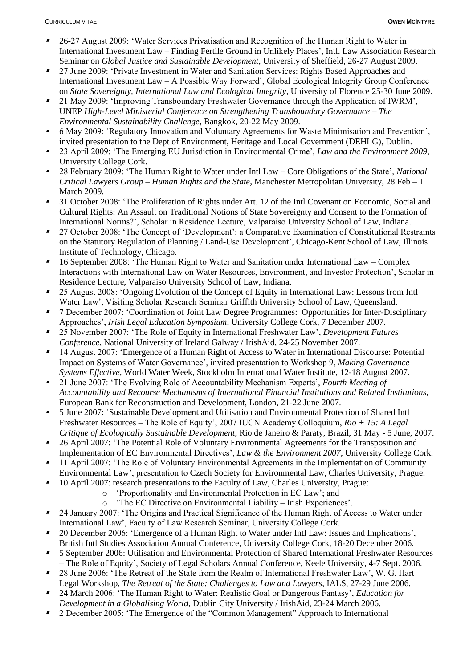- ▪ 26-27 August 2009: 'Water Services Privatisation and Recognition of the Human Right to Water in International Investment Law – Finding Fertile Ground in Unlikely Places', Intl. Law Association Research Seminar on *Global Justice and Sustainable Development*, University of Sheffield, 26-27 August 2009.
- ▪ 27 June 2009: 'Private Investment in Water and Sanitation Services: Rights Based Approaches and International Investment Law – A Possible Way Forward', Global Ecological Integrity Group Conference on *State Sovereignty, International Law and Ecological Integrity*, University of Florence 25-30 June 2009.
- ▪ 21 May 2009: 'Improving Transboundary Freshwater Governance through the Application of IWRM', UNEP *High-Level Ministerial Conference on Strengthening Transboundary Governance – The Environmental Sustainability Challenge*, Bangkok, 20-22 May 2009.
- ▪ 6 May 2009: 'Regulatory Innovation and Voluntary Agreements for Waste Minimisation and Prevention', invited presentation to the Dept of Environment, Heritage and Local Government (DEHLG), Dublin.
- ▪ 23 April 2009: 'The Emerging EU Jurisdiction in Environmental Crime', *Law and the Environment 2009*, University College Cork.
- ▪ 28 February 2009: 'The Human Right to Water under Intl Law – Core Obligations of the State', *National Critical Lawyers Group – Human Rights and the State*, Manchester Metropolitan University, 28 Feb – 1 March 2009.
- ▪ 31 October 2008: 'The Proliferation of Rights under Art. 12 of the Intl Covenant on Economic, Social and Cultural Rights: An Assault on Traditional Notions of State Sovereignty and Consent to the Formation of International Norms?', Scholar in Residence Lecture, Valparaiso University School of Law, Indiana.
- ▪ 27 October 2008: 'The Concept of 'Development': a Comparative Examination of Constitutional Restraints on the Statutory Regulation of Planning / Land-Use Development', Chicago-Kent School of Law, Illinois Institute of Technology, Chicago.
- ▪ 16 September 2008: 'The Human Right to Water and Sanitation under International Law – Complex Interactions with International Law on Water Resources, Environment, and Investor Protection', Scholar in Residence Lecture, Valparaiso University School of Law, Indiana.
- ▪ 25 August 2008: 'Ongoing Evolution of the Concept of Equity in International Law: Lessons from Intl Water Law', Visiting Scholar Research Seminar Griffith University School of Law, Queensland.
- ▪ 7 December 2007: 'Coordination of Joint Law Degree Programmes: Opportunities for Inter-Disciplinary Approaches', *Irish Legal Education Symposium*, University College Cork, 7 December 2007.
- 25 November 2007: 'The Role of Equity in International Freshwater Law', *Development Futures Conference*, National University of Ireland Galway / IrishAid, 24-25 November 2007.
- ▪ 14 August 2007: 'Emergence of a Human Right of Access to Water in International Discourse: Potential Impact on Systems of Water Governance', invited presentation to Workshop 9, *Making Governance Systems Effective*, World Water Week, Stockholm International Water Institute, 12-18 August 2007.
- ▪ 21 June 2007: 'The Evolving Role of Accountability Mechanism Experts', *Fourth Meeting of Accountability and Recourse Mechanisms of International Financial Institutions and Related Institutions,*  European Bank for Reconstruction and Development, London, 21-22 June 2007.
- ▪ 5 June 2007: 'Sustainable Development and Utilisation and Environmental Protection of Shared Intl Freshwater Resources – The Role of Equity', 2007 IUCN Academy Colloquium, *Rio + 15: A Legal Critique of Ecologically Sustainable Development*, Rio de Janeiro & Paraty, Brazil, 31 May - 5 June, 2007.
- ▪ 26 April 2007: 'The Potential Role of Voluntary Environmental Agreements for the Transposition and Implementation of EC Environmental Directives', *Law & the Environment 2007*, University College Cork.
- ▪ 11 April 2007: 'The Role of Voluntary Environmental Agreements in the Implementation of Community Environmental Law', presentation to Czech Society for Environmental Law, Charles University, Prague.
- ▪ 10 April 2007: research presentations to the Faculty of Law, Charles University, Prague:
	- o 'Proportionality and Environmental Protection in EC Law'; and
		- o 'The EC Directive on Environmental Liability Irish Experiences'.
- ▪ 24 January 2007: 'The Origins and Practical Significance of the Human Right of Access to Water under International Law', Faculty of Law Research Seminar, University College Cork.
- ▪ 20 December 2006: 'Emergence of a Human Right to Water under Intl Law: Issues and Implications', British Intl Studies Association Annual Conference, University College Cork, 18-20 December 2006.
- ▪ 5 September 2006: Utilisation and Environmental Protection of Shared International Freshwater Resources – The Role of Equity', Society of Legal Scholars Annual Conference, Keele University, 4-7 Sept. 2006.
- ▪ 28 June 2006: 'The Retreat of the State from the Realm of International Freshwater Law', W. G. Hart Legal Workshop, *The Retreat of the State: Challenges to Law and Lawyers,* IALS, 27-29 June 2006.
- ▪ 24 March 2006: 'The Human Right to Water: Realistic Goal or Dangerous Fantasy', *Education for Development in a Globalising World*, Dublin City University / IrishAid, 23-24 March 2006.
- ▪2 December 2005: 'The Emergence of the "Common Management" Approach to International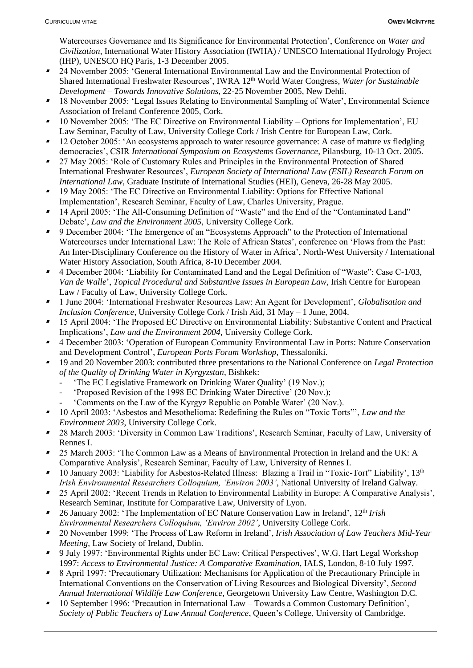Watercourses Governance and Its Significance for Environmental Protection', Conference on *Water and Civilization*, International Water History Association (IWHA) / UNESCO International Hydrology Project (IHP), UNESCO HQ Paris, 1-3 December 2005.

- ▪ 24 November 2005: 'General International Environmental Law and the Environmental Protection of Shared International Freshwater Resources', IWRA 12<sup>th</sup> World Water Congress, *Water for Sustainable Development – Towards Innovative Solutions*, 22-25 November 2005, New Dehli.
- 18 November 2005: 'Legal Issues Relating to Environmental Sampling of Water', Environmental Science Association of Ireland Conference 2005, Cork.
- ▪ 10 November 2005: 'The EC Directive on Environmental Liability – Options for Implementation', EU Law Seminar, Faculty of Law, University College Cork / Irish Centre for European Law, Cork.
- ▪ 12 October 2005: 'An ecosystems approach to water resource governance: A case of mature *vs* fledgling democracies', CSIR *International Symposium on Ecosystems Governance*, Pilansburg, 10-13 Oct. 2005.
- ▪ 27 May 2005: 'Role of Customary Rules and Principles in the Environmental Protection of Shared International Freshwater Resources', *European Society of International Law (ESIL) Research Forum on International Law*, Graduate Institute of International Studies (HEI), Geneva, 26-28 May 2005.
- 19 May 2005: 'The EC Directive on Environmental Liability: Options for Effective National Implementation', Research Seminar, Faculty of Law, Charles University, Prague.
- ▪ 14 April 2005: 'The All-Consuming Definition of "Waste" and the End of the "Contaminated Land" Debate', *Law and the Environment 2005*, University College Cork.
- ▪ 9 December 2004: 'The Emergence of an "Ecosystems Approach" to the Protection of International Watercourses under International Law: The Role of African States', conference on 'Flows from the Past: An Inter-Disciplinary Conference on the History of Water in Africa', North-West University / International Water History Association, South Africa, 8-10 December 2004.
- 4 December 2004: 'Liability for Contaminated Land and the Legal Definition of "Waste": Case C-1/03, *Van de Walle*', *Topical Procedural and Substantive Issues in European Law*, Irish Centre for European Law / Faculty of Law, University College Cork.
- ▪ 1 June 2004: 'International Freshwater Resources Law: An Agent for Development', *Globalisation and Inclusion Conference*, University College Cork / Irish Aid, 31 May – 1 June, 2004.
- ▪ 15 April 2004: 'The Proposed EC Directive on Environmental Liability: Substantive Content and Practical Implications', *Law and the Environment 2004*, University College Cork.
- 4 December 2003: 'Operation of European Community Environmental Law in Ports: Nature Conservation and Development Control', *European Ports Forum Workshop*, Thessaloniki.
- ▪ 19 and 20 November 2003: contributed three presentations to the National Conference on *Legal Protection of the Quality of Drinking Water in Kyrgyzstan*, Bishkek:
	- 'The EC Legislative Framework on Drinking Water Quality' (19 Nov.);
	- 'Proposed Revision of the 1998 EC Drinking Water Directive' (20 Nov.);
	- 'Comments on the Law of the Kyrgyz Republic on Potable Water' (20 Nov.).
- ▪ 10 April 2003: 'Asbestos and Mesothelioma: Redefining the Rules on "Toxic Torts"', *Law and the Environment 2003*, University College Cork.
- ▪ 28 March 2003: 'Diversity in Common Law Traditions', Research Seminar, Faculty of Law, University of Rennes I.
- ▪ 25 March 2003: 'The Common Law as a Means of Environmental Protection in Ireland and the UK: A Comparative Analysis', Research Seminar, Faculty of Law, University of Rennes I.
- ▪<sup>1</sup> 10 January 2003: 'Liability for Asbestos-Related Illness: Blazing a Trail in "Toxic-Tort" Liability', 13<sup>th</sup> *Irish Environmental Researchers Colloquium, 'Environ 2003'*, National University of Ireland Galway.
- 25 April 2002: 'Recent Trends in Relation to Environmental Liability in Europe: A Comparative Analysis', Research Seminar, Institute for Comparative Law, University of Lyon.
- ▪ 26 January 2002: 'The Implementation of EC Nature Conservation Law in Ireland', 12th *Irish Environmental Researchers Colloquium, 'Environ 2002'*, University College Cork.
- ▪ 20 November 1999: 'The Process of Law Reform in Ireland', *Irish Association of Law Teachers Mid-Year Meeting*, Law Society of Ireland, Dublin.
- ▪ 9 July 1997: 'Environmental Rights under EC Law: Critical Perspectives', W.G. Hart Legal Workshop 1997: *Access to Environmental Justice: A Comparative Examination*, IALS, London, 8-10 July 1997.
- ▪ 8 April 1997: 'Precautionary Utilization: Mechanisms for Application of the Precautionary Principle in International Conventions on the Conservation of Living Resources and Biological Diversity', *Second Annual International Wildlife Law Conference*, Georgetown University Law Centre, Washington D.C.
- ▪ 10 September 1996: 'Precaution in International Law – Towards a Common Customary Definition', *Society of Public Teachers of Law Annual Conference*, Queen's College, University of Cambridge.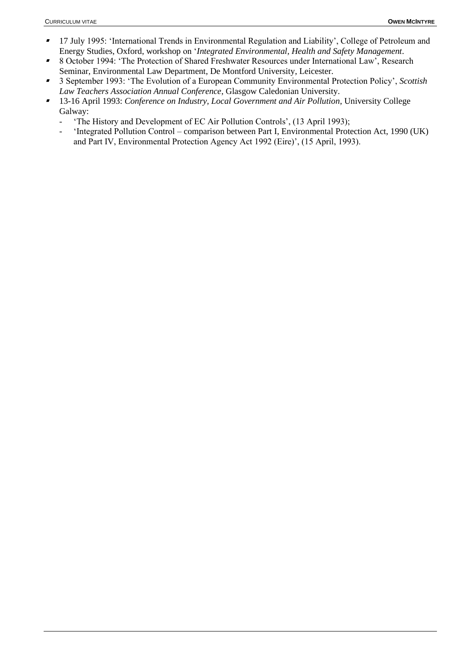- ▪ 17 July 1995: 'International Trends in Environmental Regulation and Liability', College of Petroleum and Energy Studies, Oxford, workshop on '*Integrated Environmental, Health and Safety Management*.
- ▪ 8 October 1994: 'The Protection of Shared Freshwater Resources under International Law', Research Seminar, Environmental Law Department, De Montford University, Leicester.
- ▪ 3 September 1993: 'The Evolution of a European Community Environmental Protection Policy', *Scottish Law Teachers Association Annual Conference*, Glasgow Caledonian University.
- 13-16 April 1993: *Conference on Industry, Local Government and Air Pollution*, University College Galway:
	- 'The History and Development of EC Air Pollution Controls', (13 April 1993);
	- 'Integrated Pollution Control comparison between Part I, Environmental Protection Act, 1990 (UK) and Part IV, Environmental Protection Agency Act 1992 (Eire)', (15 April, 1993).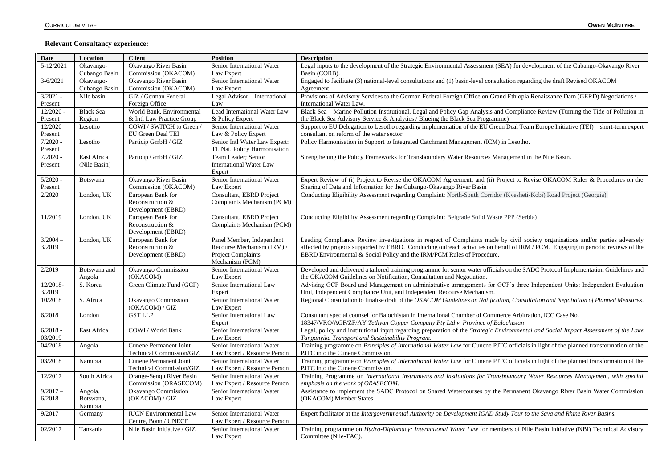#### **Relevant Consultancy experience:**

| Date                   | Location                        | <b>Client</b>                                               | <b>Position</b>                                                                                         | <b>Description</b>                                                                                                                                                                                                                                                                                                                             |
|------------------------|---------------------------------|-------------------------------------------------------------|---------------------------------------------------------------------------------------------------------|------------------------------------------------------------------------------------------------------------------------------------------------------------------------------------------------------------------------------------------------------------------------------------------------------------------------------------------------|
| $\overline{5-12/2021}$ | Okavango-<br>Cubango Basin      | Okavango River Basin<br>Commission (OKACOM)                 | Senior International Water<br>Law Expert                                                                | Legal inputs to the development of the Strategic Environmental Assessment (SEA) for development of the Cubango-Okavango River<br>Basin (CORB).                                                                                                                                                                                                 |
| $3 - 6/2021$           | Okavango-<br>Cubango Basin      | Okavango River Basin<br>Commission (OKACOM)                 | Senior International Water<br>Law Expert                                                                | Engaged to facilitate (3) national-level consultations and (1) basin-level consultation regarding the draft Revised OKACOM<br>Agreement.                                                                                                                                                                                                       |
| $3/2021 -$<br>Present  | Nile basin                      | GIZ / German Federal<br>Foreign Office                      | Legal Advisor - International<br>Law                                                                    | Provisions of Advisory Services to the German Federal Foreign Office on Grand Ethiopia Renaissance Dam (GERD) Negotiations /<br>International Water Law.                                                                                                                                                                                       |
| 12/2020                | <b>Black Sea</b>                | World Bank, Environmental                                   | Lead International Water Law                                                                            | Black Sea - Marine Pollution Institutional, Legal and Policy Gap Analysis and Compliance Review (Turning the Tide of Pollution in                                                                                                                                                                                                              |
| Present<br>$12/2020 -$ | Region<br>Lesotho               | & Intl Law Practice Group<br>COWI / SWITCH to Green         | & Policy Expert<br>Senior International Water                                                           | the Black Sea Advisory Service & Analytics / Blueing the Black Sea Programme)<br>Support to EU Delegation to Lesotho regarding implementation of the EU Green Deal Team Europe Initiative (TEI) - short-term expert                                                                                                                            |
| Present<br>$7/2020 -$  | Lesotho                         | EU Green Deal TEI<br>Particip GmbH / GIZ                    | Law & Policy Expert<br>Senior Intl Water Law Expert:                                                    | consultant on reform of the water sector.<br>Policy Harmonisation in Support to Integrated Catchment Management (ICM) in Lesotho.                                                                                                                                                                                                              |
| Present                |                                 |                                                             | TL Nat. Policy Harmonisation                                                                            |                                                                                                                                                                                                                                                                                                                                                |
| $7/2020 -$<br>Present  | East Africa<br>(Nile Basin)     | Particip GmbH / GIZ                                         | Team Leader; Senior<br><b>International Water Law</b><br>Expert                                         | Strengthening the Policy Frameworks for Transboundary Water Resources Management in the Nile Basin.                                                                                                                                                                                                                                            |
| $5/2020 -$<br>Present  | Botswana                        | Okavango River Basin<br>Commission (OKACOM)                 | Senior International Water<br>Law Expert                                                                | Expert Review of (i) Project to Revise the OKACOM Agreement; and (ii) Project to Revise OKACOM Rules & Procedures on the<br>Sharing of Data and Information for the Cubango-Okavango River Basin                                                                                                                                               |
| 2/2020                 | London, UK                      | European Bank for<br>Reconstruction &<br>Development (EBRD) | Consultant, EBRD Project<br>Complaints Mechanism (PCM)                                                  | Conducting Eligibility Assessment regarding Complaint: North-South Corridor (Kvesheti-Kobi) Road Project (Georgia).                                                                                                                                                                                                                            |
| 11/2019                | London, UK                      | European Bank for<br>Reconstruction &<br>Development (EBRD) | Consultant, EBRD Project<br>Complaints Mechanism (PCM)                                                  | Conducting Eligibility Assessment regarding Complaint: Belgrade Solid Waste PPP (Serbia)                                                                                                                                                                                                                                                       |
| $3/2004 -$<br>3/2019   | London, UK                      | European Bank for<br>Reconstruction &<br>Development (EBRD) | Panel Member, Independent<br>Recourse Mechanism (IRM) /<br><b>Project Complaints</b><br>Mechanism (PCM) | Leading Compliance Review investigations in respect of Complaints made by civil society organisations and/or parties adversely<br>affected by projects supported by EBRD. Conducting outreach activities on behalf of IRM / PCM. Engaging in periodic reviews of the<br>EBRD Environmental & Social Policy and the IRM/PCM Rules of Procedure. |
| 2/2019                 | Botswana and<br>Angola          | Okavango Commission<br>(OKACOM)                             | Senior International Water<br>Law Expert                                                                | Developed and delivered a tailored training programme for senior water officials on the SADC Protocol Implementation Guidelines and<br>the OKACOM Guidelines on Notification, Consultation and Negotiation.                                                                                                                                    |
| 12/2018-<br>3/2019     | S. Korea                        | Green Climate Fund (GCF)                                    | Senior International Law<br>Expert                                                                      | Advising GCF Board and Management on administrative arrangements for GCF's three Independent Units: Independent Evaluation<br>Unit, Independent Compliance Unit, and Independent Recourse Mechanism.                                                                                                                                           |
| 10/2018                | S. Africa                       | Okavango Commission<br>(OKACOM) / GIZ                       | Senior International Water<br>Law Expert                                                                | Regional Consultation to finalise draft of the OKACOM Guidelines on Notification, Consultation and Negotiation of Planned Measures.                                                                                                                                                                                                            |
| 6/2018                 | London                          | <b>GST LLP</b>                                              | Senior International Law<br>Expert                                                                      | Consultant special counsel for Balochistan in International Chamber of Commerce Arbitration, ICC Case No.<br>18347/VRO/AGF/ZF/AY Tethyan Copper Company Pty Ltd v. Province of Balochistan                                                                                                                                                     |
| $6/2018 -$<br>03/2019  | East Africa                     | COWI / World Bank                                           | Senior International Water<br>Law Expert                                                                | Legal, policy and institutional input regarding preparation of the Strategic Environmental and Social Impact Assessment of the Lake<br>Tanganyika Transport and Sustainability Program.                                                                                                                                                        |
| 04/2018                | Angola                          | Cunene Permanent Joint<br>Technical Commission/GIZ          | Senior International Water<br>Law Expert / Resource Person                                              | Training programme on Principles of International Water Law for Cunene PJTC officials in light of the planned transformation of the<br>PJTC into the Cunene Commission.                                                                                                                                                                        |
| 03/2018                | Namibia                         | <b>Cunene Permanent Joint</b><br>Technical Commission/GIZ   | Senior International Water<br>Law Expert / Resource Person                                              | Training programme on Principles of International Water Law for Cunene PJTC officials in light of the planned transformation of the<br>PJTC into the Cunene Commission.                                                                                                                                                                        |
| 12/2017                | South Africa                    | Orange-Senqu River Basin<br>Commission (ORASECOM)           | Senior International Water<br>Law Expert / Resource Person                                              | Training Programme on International Instruments and Institutions for Transboundary Water Resources Management, with special<br>emphasis on the work of ORASECOM.                                                                                                                                                                               |
| $9/2017 -$<br>6/2018   | Angola,<br>Botswana,<br>Namibia | Okavango Commission<br>(OKACOM) / GIZ                       | Senior International Water<br>Law Expert                                                                | Assistance to implement the SADC Protocol on Shared Watercourses by the Permanent Okavango River Basin Water Commission<br>(OKACOM) Member States                                                                                                                                                                                              |
| 9/2017                 | Germany                         | <b>IUCN</b> Environmental Law<br>Centre, Bonn / UNECE       | Senior International Water<br>Law Expert / Resource Person                                              | Expert facilitator at the Intergovernmental Authority on Development IGAD Study Tour to the Sava and Rhine River Basins.                                                                                                                                                                                                                       |
| 02/2017                | Tanzania                        | Nile Basin Initiative / GIZ                                 | Senior International Water<br>Law Expert                                                                | Training programme on Hydro-Diplomacy: International Water Law for members of Nile Basin Initiative (NBI) Technical Advisory<br>Committee (Nile-TAC).                                                                                                                                                                                          |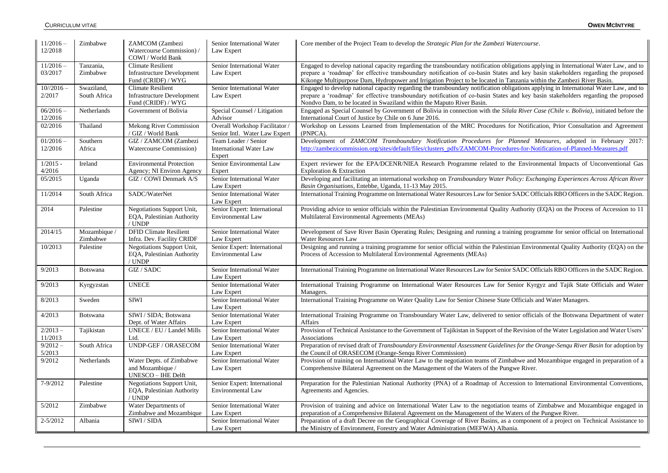| $11/2016-$<br>12/2018     | Zimbabwe                   | ZAMCOM (Zambezi<br>Watercourse Commission) /<br>COWI / World Bank                   | Senior International Water<br>Law Expert                         | Core member of the Project Team to develop the <i>Strategic Plan for the Zambezi Watercourse</i> .                                                                                                                                                                                                                                                                                                  |
|---------------------------|----------------------------|-------------------------------------------------------------------------------------|------------------------------------------------------------------|-----------------------------------------------------------------------------------------------------------------------------------------------------------------------------------------------------------------------------------------------------------------------------------------------------------------------------------------------------------------------------------------------------|
| $11/2016 -$<br>03/2017    | Tanzania,<br>Zimbabwe      | <b>Climate Resilient</b><br><b>Infrastructure Development</b><br>Fund (CRIDF) / WYG | Senior International Water<br>Law Expert                         | Engaged to develop national capacity regarding the transboundary notification obligations applying in International Water Law, and to<br>prepare a 'roadmap' for effective transboundary notification of co-basin States and key basin stakeholders regarding the proposed<br>Kikonge Multipurpose Dam, Hydropower and Irrigation Project to be located in Tanzania within the Zambezi River Basin. |
| $10^{1/2016}$ -<br>2/2017 | Swaziland,<br>South Africa | <b>Climate Resilient</b><br><b>Infrastructure Development</b><br>Fund (CRIDF) / WYG | Senior International Water<br>Law Expert                         | Engaged to develop national capacity regarding the transboundary notification obligations applying in International Water Law, and to<br>prepare a 'roadmap' for effective transboundary notification of co-basin States and key basin stakeholders regarding the proposed<br>Nondvo Dam, to be located in Swaziland within the Maputo River Basin.                                                 |
| $06/2016 -$<br>12/2016    | Netherlands                | Government of Bolivia                                                               | Special Counsel / Litigation<br>Advisor                          | Engaged as Special Counsel by Government of Bolivia in connection with the Silala River Case (Chile v. Bolivia), initiated before the<br>International Court of Justice by Chile on 6 June 2016.                                                                                                                                                                                                    |
| 02/2016                   | Thailand                   | Mekong River Commission<br>/ GIZ / World Bank                                       | Overall Workshop Facilitator /<br>Senior Intl. Water Law Expert  | Workshop on Lessons Learned from Implementation of the MRC Procedures for Notification, Prior Consultation and Agreement<br>(PNPCA).                                                                                                                                                                                                                                                                |
| $01/2016 -$<br>12/2016    | Southern<br>Africa         | GIZ / ZAMCOM (Zambezi<br>Watercourse Commission)                                    | Team Leader / Senior<br><b>International Water Law</b><br>Expert | Development of ZAMCOM Transboundary Notification Procedures for Planned Measures, adopted in February 2017:<br>http://zambezicommission.org/sites/default/files/clusters_pdfs/ZAMCOM-Procedures-for-Notification-of-Planned-Measures.pdf                                                                                                                                                            |
| $1/2015 -$<br>4/2016      | Ireland                    | <b>Environmental Protection</b><br>Agency; NI Environ Agency                        | Senior Environmental Law<br>Expert                               | Expert reviewer for the EPA/DCENR/NIEA Research Programme related to the Environmental Impacts of Unconventional Gas<br>Exploration & Extraction                                                                                                                                                                                                                                                    |
| 05/2015                   | Uganda                     | GIZ / COWI Denmark A/S                                                              | Senior International Water<br>Law Expert                         | Developing and facilitating an international workshop on Transboundary Water Policy: Exchanging Experiences Across African River<br>Basin Organisations, Entebbe, Uganda, 11-13 May 2015.                                                                                                                                                                                                           |
| 11/2014                   | South Africa               | SADC/WaterNet                                                                       | Senior International Water<br>Law Expert                         | International Training Programme on International Water Resources Law for Senior SADC Officials RBO Officers in the SADC Region.                                                                                                                                                                                                                                                                    |
| 2014                      | Palestine                  | Negotiations Support Unit,<br>EQA, Palestinian Authority<br>/ UNDP                  | Senior Expert: International<br>Environmental Law                | Providing advice to senior officials within the Palestinian Environmental Quality Authority (EQA) on the Process of Accession to 11<br>Multilateral Environmental Agreements (MEAs)                                                                                                                                                                                                                 |
| 2014/15                   | Mozambique /<br>Zimbabwe   | <b>DFID Climate Resilient</b><br>Infra. Dev. Facility CRIDF                         | Senior International Water<br>Law Expert                         | Development of Save River Basin Operating Rules; Designing and running a training programme for senior official on International<br><b>Water Resources Law</b>                                                                                                                                                                                                                                      |
| 10/2013                   | Palestine                  | Negotiations Support Unit,<br>EQA, Palestinian Authority<br>/ UNDP                  | Senior Expert: International<br><b>Environmental Law</b>         | Designing and running a training programme for senior official within the Palestinian Environmental Quality Authority (EQA) on the<br>Process of Accession to Multilateral Environmental Agreements (MEAs)                                                                                                                                                                                          |
| 9/2013                    | Botswana                   | GIZ / SADC                                                                          | Senior International Water<br>Law Expert                         | International Training Programme on International Water Resources Law for Senior SADC Officials RBO Officers in the SADC Region.                                                                                                                                                                                                                                                                    |
| 9/2013                    | Kyrgyzstan                 | <b>UNECE</b>                                                                        | Senior International Water<br>Law Expert                         | International Training Programme on International Water Resources Law for Senior Kyrgyz and Tajik State Officials and Water<br>Managers.                                                                                                                                                                                                                                                            |
| 8/2013                    | Sweden                     | <b>SIWI</b>                                                                         | Senior International Water<br>Law Expert                         | International Training Programme on Water Quality Law for Senior Chinese State Officials and Water Managers.                                                                                                                                                                                                                                                                                        |
| 4/2013                    | Botswana                   | SIWI / SIDA; Botswana<br>Dept. of Water Affairs                                     | Senior International Water<br>Law Expert                         | International Training Programme on Transboundary Water Law, delivered to senior officials of the Botswana Department of water<br>Affairs                                                                                                                                                                                                                                                           |
| $2/2013 -$<br>11/2013     | Tajikistan                 | UNECE / EU / Landel Mills<br>Ltd.                                                   | Senior International Water<br>Law Expert                         | Provision of Technical Assistance to the Government of Tajikistan in Support of the Revision of the Water Legislation and Water Users'<br>Associations                                                                                                                                                                                                                                              |
| $9/2012 -$                | South Africa               | <b>UNDP-GEF / ORASECOM</b>                                                          | Senior International Water                                       | Preparation of revised draft of Transboundary Environmental Assessment Guidelines for the Orange-Senqu River Basin for adoption by                                                                                                                                                                                                                                                                  |
| 5/2013<br>9/2012          | Netherlands                | Water Depts. of Zimbabwe<br>and Mozambique /<br>UNESCO - IHE Delft                  | Law Expert<br>Senior International Water<br>Law Expert           | the Council of ORASECOM (Orange-Senqu River Commission)<br>Provision of training on International Water Law to the negotiation teams of Zimbabwe and Mozambique engaged in preparation of a<br>Comprehensive Bilateral Agreement on the Management of the Waters of the Pungwe River.                                                                                                               |
| 7-9/2012                  | Palestine                  | Negotiations Support Unit,<br>EQA, Palestinian Authority<br>/ UNDP                  | Senior Expert: International<br><b>Environmental Law</b>         | Preparation for the Palestinian National Authority (PNA) of a Roadmap of Accession to International Environmental Conventions,<br>Agreements and Agencies.                                                                                                                                                                                                                                          |
| 5/2012                    | Zimbabwe                   | Water Departments of<br>Zimbabwe and Mozambique                                     | Senior International Water<br>Law Expert                         | Provision of training and advice on International Water Law to the negotiation teams of Zimbabwe and Mozambique engaged in<br>preparation of a Comprehensive Bilateral Agreement on the Management of the Waters of the Pungwe River.                                                                                                                                                               |
| $2 - 5/2012$              | Albania                    | SIWI / SIDA                                                                         | Senior International Water<br>Law Expert                         | Preparation of a draft Decree on the Geographical Coverage of River Basins, as a component of a project on Technical Assistance to<br>the Ministry of Environment, Forestry and Water Administration (MEFWA) Albania.                                                                                                                                                                               |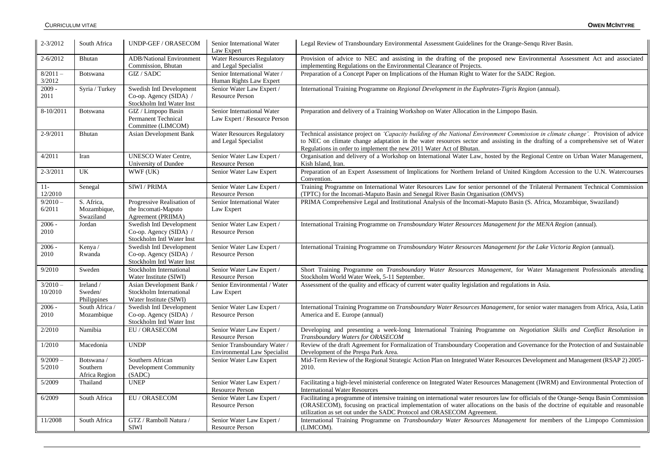| $2 - 3/2012$          | South Africa                            | UNDP-GEF / ORASECOM                                                             | Senior International Water<br>Law Expert                            | Legal Review of Transboundary Environmental Assessment Guidelines for the Orange-Senqu River Basin.                                                                                                                                                                                                                                                |
|-----------------------|-----------------------------------------|---------------------------------------------------------------------------------|---------------------------------------------------------------------|----------------------------------------------------------------------------------------------------------------------------------------------------------------------------------------------------------------------------------------------------------------------------------------------------------------------------------------------------|
| $2 - 6/2012$          | Bhutan                                  | <b>ADB/National Environment</b><br>Commission, Bhutan                           | <b>Water Resources Regulatory</b><br>and Legal Specialist           | Provision of advice to NEC and assisting in the drafting of the proposed new Environmental Assessment Act and associated<br>implementing Regulations on the Environmental Clearance of Projects.                                                                                                                                                   |
| $8/2011 -$<br>3/2012  | <b>Botswana</b>                         | GIZ / SADC                                                                      | Senior International Water /<br>Human Rights Law Expert             | Preparation of a Concept Paper on Implications of the Human Right to Water for the SADC Region.                                                                                                                                                                                                                                                    |
| $2009 -$<br>2011      | Syria / Turkey                          | Swedish Intl Development<br>Co-op. Agency (SIDA) /<br>Stockholm Intl Water Inst | Senior Water Law Expert /<br><b>Resource Person</b>                 | International Training Programme on Regional Development in the Euphrates-Tigris Region (annual).                                                                                                                                                                                                                                                  |
| 8-10/2011             | <b>Botswana</b>                         | GIZ / Limpopo Basin<br>Permanent Technical<br>Committee (LIMCOM)                | Senior International Water<br>Law Expert / Resource Person          | Preparation and delivery of a Training Workshop on Water Allocation in the Limpopo Basin.                                                                                                                                                                                                                                                          |
| 2-9/2011              | Bhutan                                  | <b>Asian Development Bank</b>                                                   | <b>Water Resources Regulatory</b><br>and Legal Specialist           | Technical assistance project on 'Capacity building of the National Environment Commission in climate change'. Provision of advice<br>to NEC on climate change adaptation in the water resources sector and assisting in the drafting of a comprehensive set of Water<br>Regulations in order to implement the new 2011 Water Act of Bhutan.        |
| 4/2011                | Iran                                    | <b>UNESCO Water Centre,</b><br>University of Dundee                             | Senior Water Law Expert /<br>Resource Person                        | Organisation and delivery of a Workshop on International Water Law, hosted by the Regional Centre on Urban Water Management,<br>Kish Island, Iran.                                                                                                                                                                                                 |
| $2 - 3/2011$          | UK                                      | WWF (UK)                                                                        | Senior Water Law Expert                                             | Preparation of an Expert Assessment of Implications for Northern Ireland of United Kingdom Accession to the U.N. Watercourses<br>Convention.                                                                                                                                                                                                       |
| $11 -$<br>12/2010     | Senegal                                 | SIWI / PRIMA                                                                    | Senior Water Law Expert /<br><b>Resource Person</b>                 | Training Programme on International Water Resources Law for senior personnel of the Trilateral Permanent Technical Commission<br>(TPTC) for the Incomati-Maputo Basin and Senegal River Basin Organisation (OMVS)                                                                                                                                  |
| $9/2010 -$<br>6/2011  | S. Africa,<br>Mozambique,<br>Swaziland  | Progressive Realisation of<br>the Incomati-Maputo<br>Agreement (PRIIMA)         | Senior International Water<br>Law Expert                            | PRIMA Comprehensive Legal and Institutional Analysis of the Incomati-Maputo Basin (S. Africa, Mozambique, Swaziland)                                                                                                                                                                                                                               |
| $2006 -$<br>2010      | Jordan                                  | Swedish Intl Development<br>Co-op. Agency (SIDA) /<br>Stockholm Intl Water Inst | Senior Water Law Expert /<br><b>Resource Person</b>                 | International Training Programme on Transboundary Water Resources Management for the MENA Region (annual).                                                                                                                                                                                                                                         |
| $2006 -$<br>2010      | Kenya /<br>Rwanda                       | Swedish Intl Development<br>Co-op. Agency (SIDA) /<br>Stockholm Intl Water Inst | Senior Water Law Expert /<br><b>Resource Person</b>                 | International Training Programme on Transboundary Water Resources Management for the Lake Victoria Region (annual).                                                                                                                                                                                                                                |
| 9/2010                | Sweden                                  | Stockholm International<br>Water Institute (SIWI)                               | Senior Water Law Expert /<br><b>Resource Person</b>                 | Short Training Programme on Transboundary Water Resources Management, for Water Management Professionals attending<br>Stockholm World Water Week, 5-11 September.                                                                                                                                                                                  |
| $3/2010 -$<br>10/2010 | Ireland /<br>Sweden/<br>Philippines     | Asian Development Bank /<br>Stockholm International<br>Water Institute (SIWI)   | Senior Environmental / Water<br>Law Expert                          | Assessment of the quality and efficacy of current water quality legislation and regulations in Asia.                                                                                                                                                                                                                                               |
| $2006 -$<br>2010      | South Africa/<br>Mozambique             | Swedish Intl Development<br>Co-op. Agency (SIDA) /<br>Stockholm Intl Water Inst | Senior Water Law Expert /<br>Resource Person                        | International Training Programme on Transboundary Water Resources Management, for senior water managers from Africa, Asia, Latin<br>America and E. Europe (annual)                                                                                                                                                                                 |
| 2/2010                | Namibia                                 | EU / ORASECOM                                                                   | Senior Water Law Expert /<br><b>Resource Person</b>                 | Developing and presenting a week-long International Training Programme on Negotiation Skills and Conflict Resolution in<br>Transboundary Waters for ORASECOM                                                                                                                                                                                       |
| 1/2010                | Macedonia                               | <b>UNDP</b>                                                                     | Senior Transboundary Water /<br><b>Environmental Law Specialist</b> | Review of the draft Agreement for Formalization of Transboundary Cooperation and Governance for the Protection of and Sustainable<br>Development of the Prespa Park Area.                                                                                                                                                                          |
| $9/2009 -$<br>5/2010  | Botswana /<br>Southern<br>Africa Region | Southern African<br>Development Community<br>(SADC)                             | Senior Water Law Expert                                             | Mid-Term Review of the Regional Strategic Action Plan on Integrated Water Resources Development and Management (RSAP 2) 2005-<br>2010.                                                                                                                                                                                                             |
| 5/2009                | Thailand                                | <b>UNEP</b>                                                                     | Senior Water Law Expert /<br>Resource Person                        | Facilitating a high-level ministerial conference on Integrated Water Resources Management (IWRM) and Environmental Protection of<br><b>International Water Resources</b>                                                                                                                                                                           |
| 6/2009                | South Africa                            | EU / ORASECOM                                                                   | Senior Water Law Expert /<br><b>Resource Person</b>                 | Facilitating a programme of intensive training on international water resources law for officials of the Orange-Senqu Basin Commission<br>(ORASECOM), focusing on practical implementation of water allocations on the basis of the doctrine of equitable and reasonable<br>utilization as set out under the SADC Protocol and ORASECOM Agreement. |
| 11/2008               | South Africa                            | GTZ / Ramboll Natura /<br><b>SIWI</b>                                           | Senior Water Law Expert /<br>Resource Person                        | International Training Programme on Transboundary Water Resources Management for members of the Limpopo Commission<br>(LIMCOM).                                                                                                                                                                                                                    |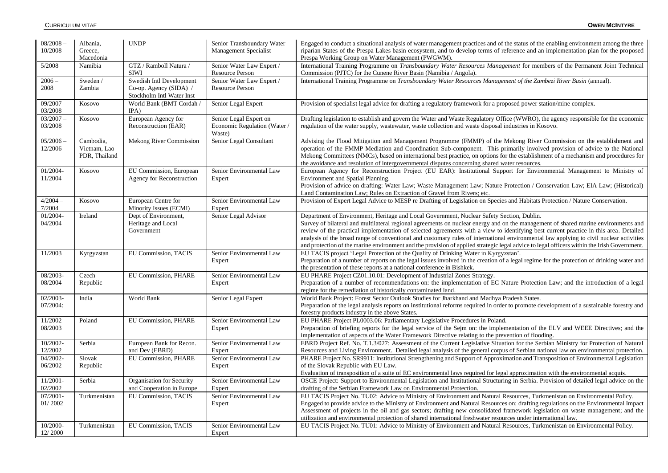| $08/2008 -$<br>10/2008 | Albania,<br>Greece,<br>Macedonia           | <b>UNDP</b>                                                                     | Senior Transboundary Water<br><b>Management Specialist</b>      | Engaged to conduct a situational analysis of water management practices and of the status of the enabling environment among the three<br>riparian States of the Prespa Lakes basin ecosystem, and to develop terms of reference and an implementation plan for the proposed<br>Prespa Working Group on Water Management (PWGWM).                                                                                                                                                                                                                                                                                                                                   |
|------------------------|--------------------------------------------|---------------------------------------------------------------------------------|-----------------------------------------------------------------|--------------------------------------------------------------------------------------------------------------------------------------------------------------------------------------------------------------------------------------------------------------------------------------------------------------------------------------------------------------------------------------------------------------------------------------------------------------------------------------------------------------------------------------------------------------------------------------------------------------------------------------------------------------------|
| 5/2008                 | Namibia                                    | GTZ / Ramboll Natura /<br><b>SIWI</b>                                           | Senior Water Law Expert /<br><b>Resource Person</b>             | International Training Programme on Transboundary Water Resources Management for members of the Permanent Joint Technical<br>Commission (PJTC) for the Cunene River Basin (Namibia / Angola).                                                                                                                                                                                                                                                                                                                                                                                                                                                                      |
| $2006 -$<br>2008       | Sweden /<br>Zambia                         | Swedish Intl Development<br>Co-op. Agency (SIDA) /<br>Stockholm Intl Water Inst | Senior Water Law Expert /<br><b>Resource Person</b>             | International Training Programme on Transboundary Water Resources Management of the Zambezi River Basin (annual).                                                                                                                                                                                                                                                                                                                                                                                                                                                                                                                                                  |
| $09/2007 -$<br>03/2008 | Kosovo                                     | World Bank (BMT Cordah /<br>IPA)                                                | Senior Legal Expert                                             | Provision of specialist legal advice for drafting a regulatory framework for a proposed power station/mine complex.                                                                                                                                                                                                                                                                                                                                                                                                                                                                                                                                                |
| $03/2007 -$<br>03/2008 | Kosovo                                     | European Agency for<br>Reconstruction (EAR)                                     | Senior Legal Expert on<br>Economic Regulation (Water/<br>Waste) | Drafting legislation to establish and govern the Water and Waste Regulatory Office (WWRO), the agency responsible for the economic<br>regulation of the water supply, was tewater, was te collection and was te disposal industries in Kosovo.                                                                                                                                                                                                                                                                                                                                                                                                                     |
| $05/2006 -$<br>12/2006 | Cambodia,<br>Vietnam, Lao<br>PDR, Thailand | <b>Mekong River Commission</b>                                                  | Senior Legal Consultant                                         | Advising the Flood Mitigation and Management Programme (FMMP) of the Mekong River Commission on the establishment and<br>operation of the FMMP Mediation and Coordination Sub-component. This primarily involved provision of advice to the National<br>Mekong Committees (NMCs), based on international best practice, on options for the establishment of a mechanism and procedures for<br>the avoidance and resolution of intergovernmental disputes concerning shared water resources.                                                                                                                                                                        |
| 01/2004-<br>11/2004    | Kosovo                                     | EU Commission, European<br><b>Agency for Reconstruction</b>                     | Senior Environmental Law<br>Expert                              | European Agency for Reconstruction Project (EU EAR): Institutional Support for Environmental Management to Ministry of<br>Environment and Spatial Planning.<br>Provision of advice on drafting: Water Law; Waste Management Law; Nature Protection / Conservation Law; EIA Law; (Historical)<br>Land Contamination Law; Rules on Extraction of Gravel from Rivers; etc.                                                                                                                                                                                                                                                                                            |
| $4/2004 -$<br>7/2004   | Kosovo                                     | European Centre for<br>Minority Issues (ECMI)                                   | Senior Environmental Law<br>Expert                              | Provision of Expert Legal Advice to MESP re Drafting of Legislation on Species and Habitats Protection / Nature Conservation.                                                                                                                                                                                                                                                                                                                                                                                                                                                                                                                                      |
| 01/2004-<br>04/2004    | Ireland                                    | Dept of Environment,<br>Heritage and Local<br>Government                        | Senior Legal Advisor                                            | Department of Environment, Heritage and Local Government, Nuclear Safety Section, Dublin.<br>Survey of bilateral and multilateral regional agreements on nuclear energy and on the management of shared marine environments and<br>review of the practical implementation of selected agreements with a view to identifying best current practice in this area. Detailed<br>analysis of the broad range of conventional and customary rules of international environmental law applying to civil nuclear activities<br>and protection of the marine environment and the provision of applied strategic legal advice to legal officers within the Irish Government. |
| 11/2003                | Kyrgyzstan                                 | <b>EU Commission, TACIS</b>                                                     | Senior Environmental Law<br>Expert                              | EU TACIS project 'Legal Protection of the Quality of Drinking Water in Kyrgyzstan'.<br>Preparation of a number of reports on the legal issues involved in the creation of a legal regime for the protection of drinking water and<br>the presentation of these reports at a national conference in Bishkek.                                                                                                                                                                                                                                                                                                                                                        |
| 08/2003-<br>08/2004    | Czech<br>Republic                          | <b>EU Commission, PHARE</b>                                                     | Senior Environmental Law<br>Expert                              | EU PHARE Project CZ01.10.01: Development of Industrial Zones Strategy.<br>Preparation of a number of recommendations on: the implementation of EC Nature Protection Law; and the introduction of a legal<br>regime for the remediation of historically contaminated land.                                                                                                                                                                                                                                                                                                                                                                                          |
| 02/2003-<br>07/2004:   | India                                      | World Bank                                                                      | Senior Legal Expert                                             | World Bank Project: Forest Sector Outlook Studies for Jharkhand and Madhya Pradesh States.<br>Preparation of the legal analysis reports on institutional reforms required in order to promote development of a sustainable forestry and<br>forestry products industry in the above States.                                                                                                                                                                                                                                                                                                                                                                         |
| 11/2002<br>08/2003     | Poland                                     | <b>EU Commission, PHARE</b>                                                     | Senior Environmental Law<br>Expert                              | EU PHARE Project PL0003.06: Parliamentary Legislative Procedures in Poland.<br>Preparation of briefing reports for the legal service of the Sejm on: the implementation of the ELV and WEEE Directives; and the<br>implementation of aspects of the Water Framework Directive relating to the prevention of flooding.                                                                                                                                                                                                                                                                                                                                              |
| $10/2002 -$<br>12/2002 | Serbia                                     | European Bank for Recon.<br>and Dev (EBRD)                                      | Senior Environmental Law<br>Expert                              | EBRD Project Ref. No. T.1.3/027: Assessment of the Current Legislative Situation for the Serbian Ministry for Protection of Natural<br>Resources and Living Environment. Detailed legal analysis of the general corpus of Serbian national law on environmental protection.                                                                                                                                                                                                                                                                                                                                                                                        |
| 04/2002-<br>06/2002    | Slovak<br>Republic                         | EU Commission, PHARE                                                            | Senior Environmental Law<br>Expert                              | PHARE Project No. SR9911: Institutional Strengthening and Support of Approximation and Transposition of Environmental Legislation<br>of the Slovak Republic with EU Law.<br>Evaluation of transposition of a suite of EC environmental laws required for legal approximation with the environmental acquis.                                                                                                                                                                                                                                                                                                                                                        |
| 11/2001-<br>02/2002    | Serbia                                     | Organisation for Security<br>and Cooperation in Europe                          | Senior Environmental Law<br>Expert                              | OSCE Project: Support to Environmental Legislation and Institutional Structuring in Serbia. Provision of detailed legal advice on the<br>drafting of the Serbian Framework Law on Environmental Protection.                                                                                                                                                                                                                                                                                                                                                                                                                                                        |
| $07/2001 -$<br>01/2002 | Turkmenistan                               | EU Commission, TACIS                                                            | Senior Environmental Law<br>Expert                              | EU TACIS Project No. TU02: Advice to Ministry of Environment and Natural Resources, Turkmenistan on Environmental Policy.<br>Engaged to provide advice to the Ministry of Environment and Natural Resources on: drafting regulations on the Environmental Impact<br>Assessment of projects in the oil and gas sectors; drafting new consolidated framework legislation on waste management; and the<br>utilization and environmental protection of shared international freshwater resources under international law.                                                                                                                                              |
| 10/2000-<br>12/2000    | Turkmenistan                               | <b>EU Commission, TACIS</b>                                                     | Senior Environmental Law<br>Expert                              | EU TACIS Project No. TU01: Advice to Ministry of Environment and Natural Resources, Turkmenistan on Environmental Policy.                                                                                                                                                                                                                                                                                                                                                                                                                                                                                                                                          |